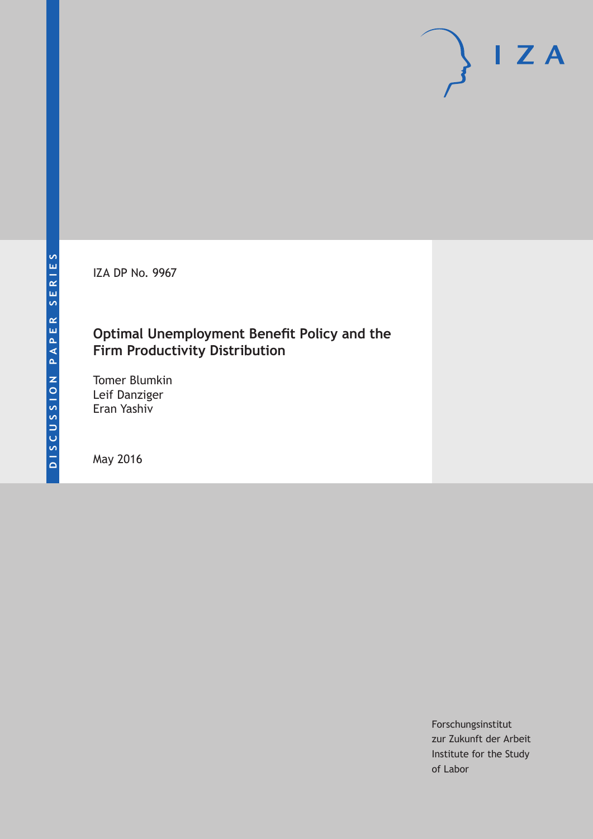IZA DP No. 9967

# **Optimal Unemployment Benefit Policy and the Firm Productivity Distribution**

Tomer Blumkin Leif Danziger Eran Yashiv

May 2016

Forschungsinstitut zur Zukunft der Arbeit Institute for the Study of Labor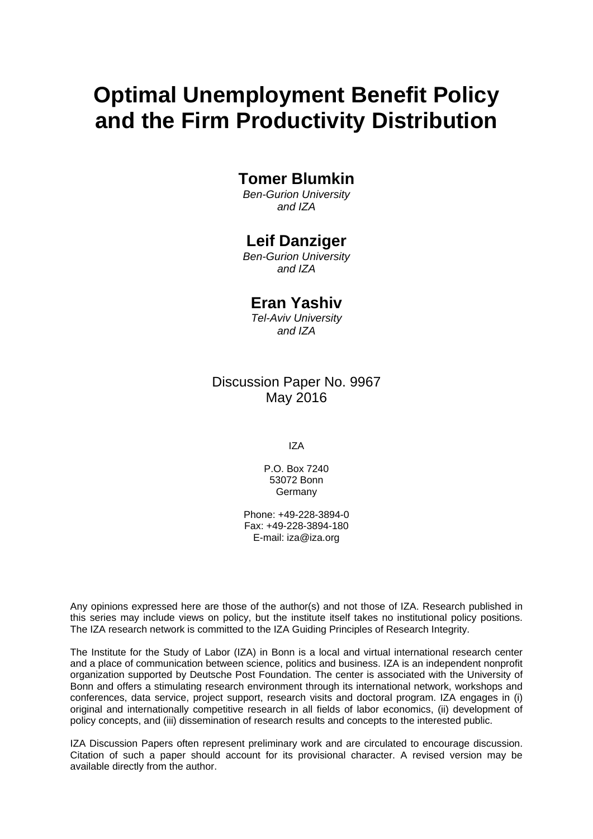# **Optimal Unemployment Benefit Policy and the Firm Productivity Distribution**

### **Tomer Blumkin**

*Ben-Gurion University and IZA* 

### **Leif Danziger**

*Ben-Gurion University and IZA* 

### **Eran Yashiv**

*Tel-Aviv University and IZA*

### Discussion Paper No. 9967 May 2016

IZA

P.O. Box 7240 53072 Bonn Germany

Phone: +49-228-3894-0 Fax: +49-228-3894-180 E-mail: iza@iza.org

Any opinions expressed here are those of the author(s) and not those of IZA. Research published in this series may include views on policy, but the institute itself takes no institutional policy positions. The IZA research network is committed to the IZA Guiding Principles of Research Integrity.

The Institute for the Study of Labor (IZA) in Bonn is a local and virtual international research center and a place of communication between science, politics and business. IZA is an independent nonprofit organization supported by Deutsche Post Foundation. The center is associated with the University of Bonn and offers a stimulating research environment through its international network, workshops and conferences, data service, project support, research visits and doctoral program. IZA engages in (i) original and internationally competitive research in all fields of labor economics, (ii) development of policy concepts, and (iii) dissemination of research results and concepts to the interested public.

IZA Discussion Papers often represent preliminary work and are circulated to encourage discussion. Citation of such a paper should account for its provisional character. A revised version may be available directly from the author.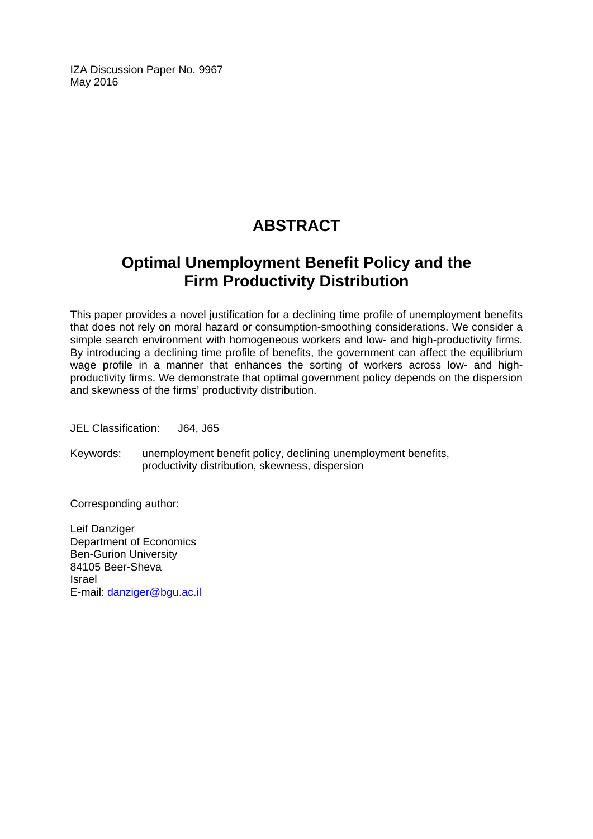IZA Discussion Paper No. 9967 May 2016

# **ABSTRACT**

# **Optimal Unemployment Benefit Policy and the Firm Productivity Distribution**

This paper provides a novel justification for a declining time profile of unemployment benefits that does not rely on moral hazard or consumption-smoothing considerations. We consider a simple search environment with homogeneous workers and low- and high-productivity firms. By introducing a declining time profile of benefits, the government can affect the equilibrium wage profile in a manner that enhances the sorting of workers across low- and highproductivity firms. We demonstrate that optimal government policy depends on the dispersion and skewness of the firms' productivity distribution.

JEL Classification: J64, J65

Keywords: unemployment benefit policy, declining unemployment benefits, productivity distribution, skewness, dispersion

Corresponding author:

Leif Danziger Department of Economics Ben-Gurion University 84105 Beer-Sheva Israel E-mail: danziger@bgu.ac.il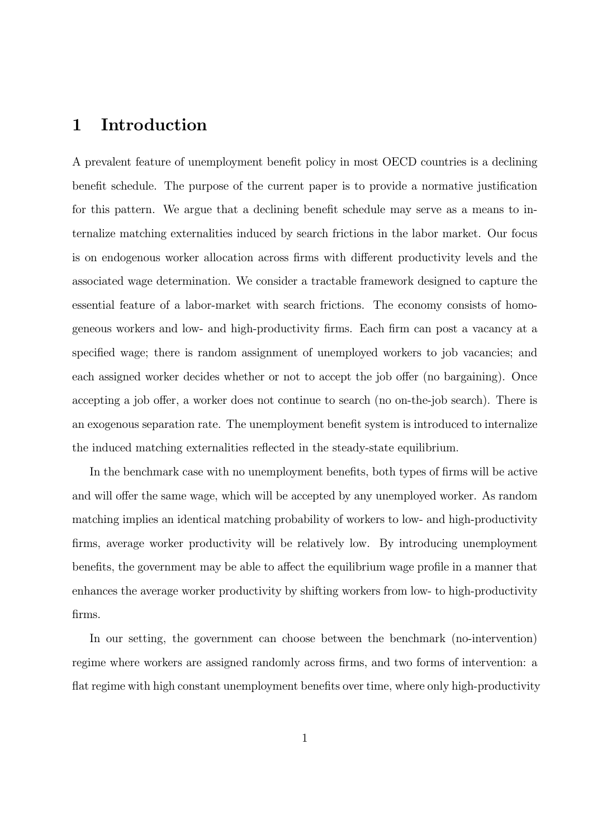### 1 Introduction

A prevalent feature of unemployment benefit policy in most OECD countries is a declining benefit schedule. The purpose of the current paper is to provide a normative justification for this pattern. We argue that a declining benefit schedule may serve as a means to internalize matching externalities induced by search frictions in the labor market. Our focus is on endogenous worker allocation across firms with different productivity levels and the associated wage determination. We consider a tractable framework designed to capture the essential feature of a labor-market with search frictions. The economy consists of homogeneous workers and low- and high-productivity firms. Each firm can post a vacancy at a specified wage; there is random assignment of unemployed workers to job vacancies; and each assigned worker decides whether or not to accept the job offer (no bargaining). Once accepting a job offer, a worker does not continue to search (no on-the-job search). There is an exogenous separation rate. The unemployment benefit system is introduced to internalize the induced matching externalities reflected in the steady-state equilibrium.

In the benchmark case with no unemployment benefits, both types of firms will be active and will offer the same wage, which will be accepted by any unemployed worker. As random matching implies an identical matching probability of workers to low- and high-productivity firms, average worker productivity will be relatively low. By introducing unemployment benefits, the government may be able to affect the equilibrium wage profile in a manner that enhances the average worker productivity by shifting workers from low- to high-productivity firms.

In our setting, the government can choose between the benchmark (no-intervention) regime where workers are assigned randomly across firms, and two forms of intervention: a flat regime with high constant unemployment benefits over time, where only high-productivity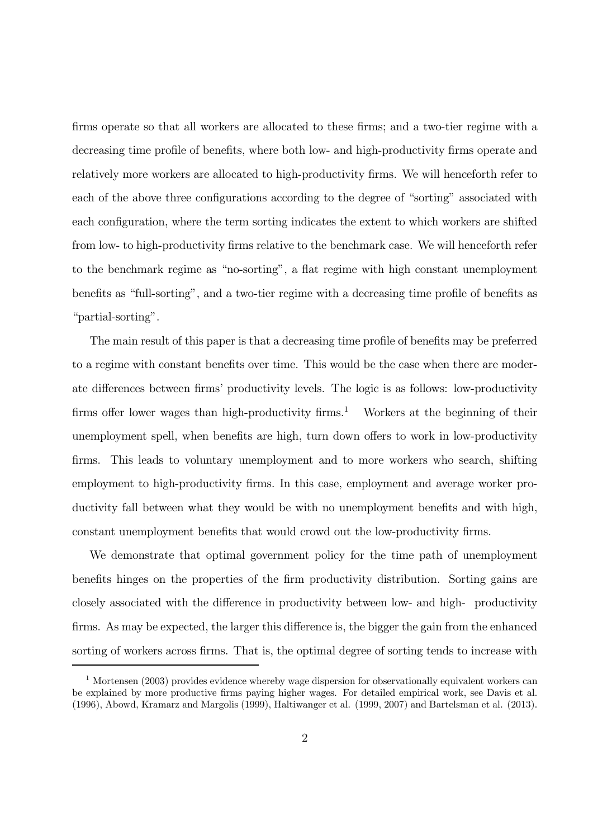firms operate so that all workers are allocated to these firms; and a two-tier regime with a decreasing time profile of benefits, where both low- and high-productivity firms operate and relatively more workers are allocated to high-productivity firms. We will henceforth refer to each of the above three configurations according to the degree of "sorting" associated with each configuration, where the term sorting indicates the extent to which workers are shifted from low- to high-productivity firms relative to the benchmark case. We will henceforth refer to the benchmark regime as "no-sorting", a flat regime with high constant unemployment benefits as "full-sorting", and a two-tier regime with a decreasing time profile of benefits as "partial-sorting".

The main result of this paper is that a decreasing time profile of benefits may be preferred to a regime with constant benefits over time. This would be the case when there are moderate differences between firms' productivity levels. The logic is as follows: low-productivity firms offer lower wages than high-productivity firms.<sup>1</sup> Workers at the beginning of their unemployment spell, when benefits are high, turn down offers to work in low-productivity firms. This leads to voluntary unemployment and to more workers who search, shifting employment to high-productivity firms. In this case, employment and average worker productivity fall between what they would be with no unemployment benefits and with high, constant unemployment benefits that would crowd out the low-productivity firms.

We demonstrate that optimal government policy for the time path of unemployment benefits hinges on the properties of the firm productivity distribution. Sorting gains are closely associated with the difference in productivity between low- and high- productivity firms. As may be expected, the larger this difference is, the bigger the gain from the enhanced sorting of workers across firms. That is, the optimal degree of sorting tends to increase with

<sup>&</sup>lt;sup>1</sup> Mortensen (2003) provides evidence whereby wage dispersion for observationally equivalent workers can be explained by more productive firms paying higher wages. For detailed empirical work, see Davis et al. (1996), Abowd, Kramarz and Margolis (1999), Haltiwanger et al. (1999, 2007) and Bartelsman et al. (2013).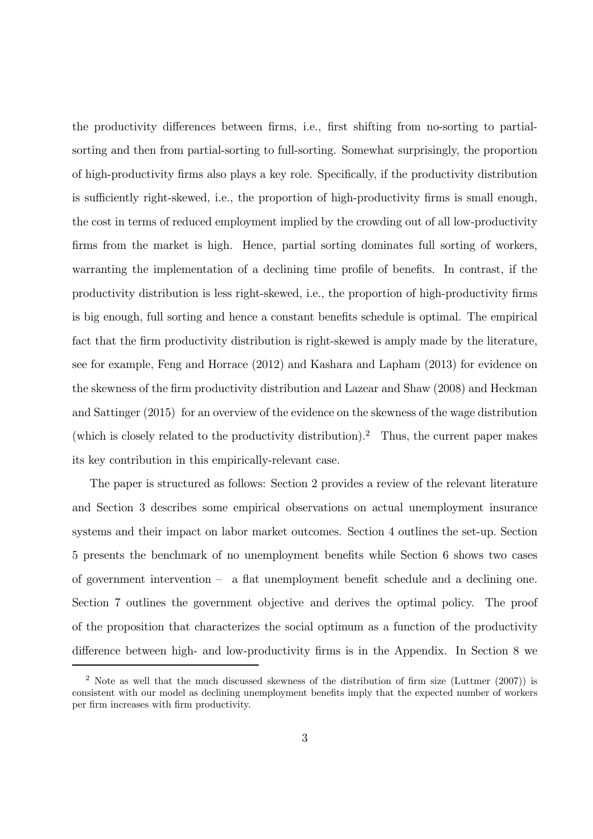the productivity differences between firms, i.e., first shifting from no-sorting to partialsorting and then from partial-sorting to full-sorting. Somewhat surprisingly, the proportion of high-productivity firms also plays a key role. Specifically, if the productivity distribution is sufficiently right-skewed, i.e., the proportion of high-productivity firms is small enough, the cost in terms of reduced employment implied by the crowding out of all low-productivity firms from the market is high. Hence, partial sorting dominates full sorting of workers, warranting the implementation of a declining time profile of benefits. In contrast, if the productivity distribution is less right-skewed, i.e., the proportion of high-productivity firms is big enough, full sorting and hence a constant benefits schedule is optimal. The empirical fact that the firm productivity distribution is right-skewed is amply made by the literature, see for example, Feng and Horrace (2012) and Kashara and Lapham (2013) for evidence on the skewness of the firm productivity distribution and Lazear and Shaw (2008) and Heckman and Sattinger (2015) for an overview of the evidence on the skewness of the wage distribution (which is closely related to the productivity distribution).<sup>2</sup> Thus, the current paper makes its key contribution in this empirically-relevant case.

The paper is structured as follows: Section 2 provides a review of the relevant literature and Section 3 describes some empirical observations on actual unemployment insurance systems and their impact on labor market outcomes. Section 4 outlines the set-up. Section 5 presents the benchmark of no unemployment benefits while Section 6 shows two cases of government intervention — a flat unemployment benefit schedule and a declining one. Section 7 outlines the government objective and derives the optimal policy. The proof of the proposition that characterizes the social optimum as a function of the productivity difference between high- and low-productivity firms is in the Appendix. In Section 8 we

<sup>&</sup>lt;sup>2</sup> Note as well that the much discussed skewness of the distribution of firm size (Luttmer  $(2007)$ ) is consistent with our model as declining unemployment benefits imply that the expected number of workers per firm increases with firm productivity.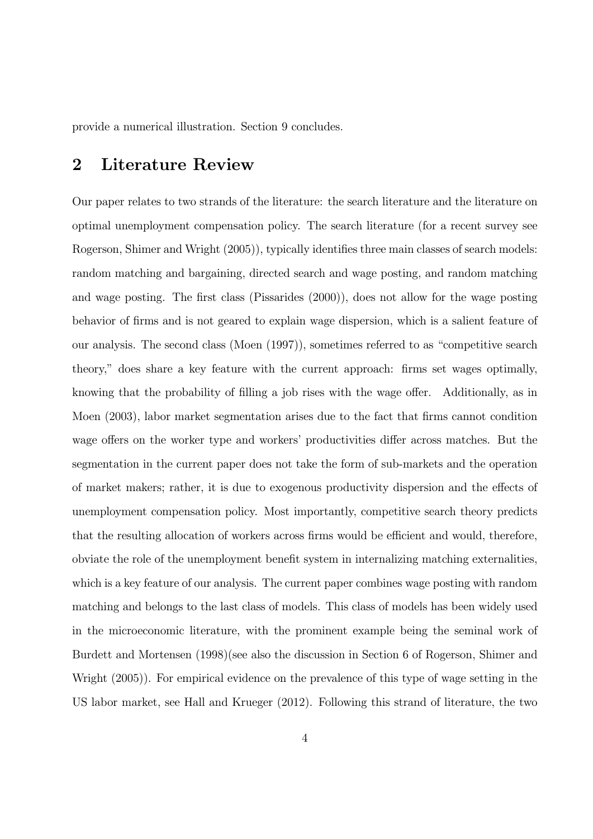provide a numerical illustration. Section 9 concludes.

### 2 Literature Review

Our paper relates to two strands of the literature: the search literature and the literature on optimal unemployment compensation policy. The search literature (for a recent survey see Rogerson, Shimer and Wright (2005)), typically identifies three main classes of search models: random matching and bargaining, directed search and wage posting, and random matching and wage posting. The first class (Pissarides (2000)), does not allow for the wage posting behavior of firms and is not geared to explain wage dispersion, which is a salient feature of our analysis. The second class (Moen (1997)), sometimes referred to as "competitive search theory," does share a key feature with the current approach: firms set wages optimally, knowing that the probability of filling a job rises with the wage offer. Additionally, as in Moen (2003), labor market segmentation arises due to the fact that firms cannot condition wage offers on the worker type and workers' productivities differ across matches. But the segmentation in the current paper does not take the form of sub-markets and the operation of market makers; rather, it is due to exogenous productivity dispersion and the effects of unemployment compensation policy. Most importantly, competitive search theory predicts that the resulting allocation of workers across firms would be efficient and would, therefore, obviate the role of the unemployment benefit system in internalizing matching externalities, which is a key feature of our analysis. The current paper combines wage posting with random matching and belongs to the last class of models. This class of models has been widely used in the microeconomic literature, with the prominent example being the seminal work of Burdett and Mortensen (1998)(see also the discussion in Section 6 of Rogerson, Shimer and Wright (2005)). For empirical evidence on the prevalence of this type of wage setting in the US labor market, see Hall and Krueger (2012). Following this strand of literature, the two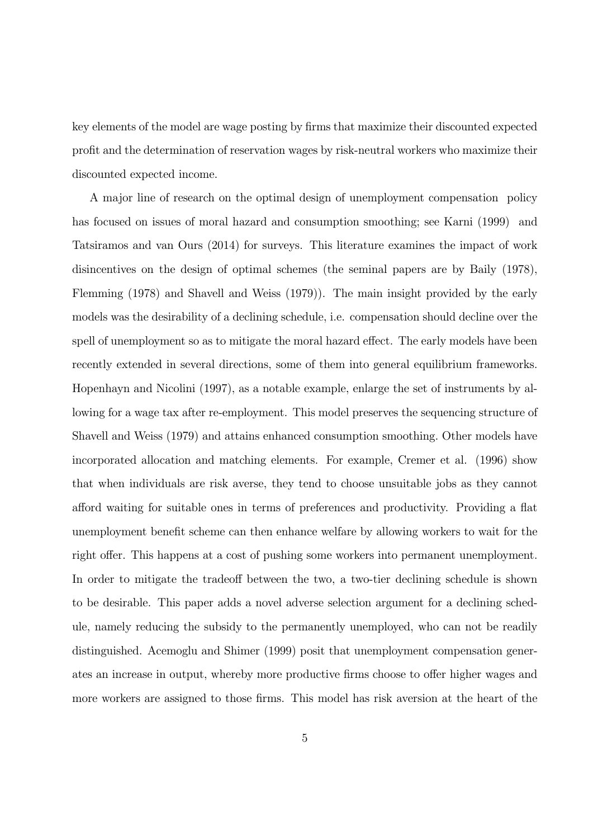key elements of the model are wage posting by firms that maximize their discounted expected profit and the determination of reservation wages by risk-neutral workers who maximize their discounted expected income.

A major line of research on the optimal design of unemployment compensation policy has focused on issues of moral hazard and consumption smoothing; see Karni (1999) and Tatsiramos and van Ours (2014) for surveys. This literature examines the impact of work disincentives on the design of optimal schemes (the seminal papers are by Baily (1978), Flemming (1978) and Shavell and Weiss (1979)). The main insight provided by the early models was the desirability of a declining schedule, i.e. compensation should decline over the spell of unemployment so as to mitigate the moral hazard effect. The early models have been recently extended in several directions, some of them into general equilibrium frameworks. Hopenhayn and Nicolini (1997), as a notable example, enlarge the set of instruments by allowing for a wage tax after re-employment. This model preserves the sequencing structure of Shavell and Weiss (1979) and attains enhanced consumption smoothing. Other models have incorporated allocation and matching elements. For example, Cremer et al. (1996) show that when individuals are risk averse, they tend to choose unsuitable jobs as they cannot afford waiting for suitable ones in terms of preferences and productivity. Providing a flat unemployment benefit scheme can then enhance welfare by allowing workers to wait for the right offer. This happens at a cost of pushing some workers into permanent unemployment. In order to mitigate the tradeoff between the two, a two-tier declining schedule is shown to be desirable. This paper adds a novel adverse selection argument for a declining schedule, namely reducing the subsidy to the permanently unemployed, who can not be readily distinguished. Acemoglu and Shimer (1999) posit that unemployment compensation generates an increase in output, whereby more productive firms choose to offer higher wages and more workers are assigned to those firms. This model has risk aversion at the heart of the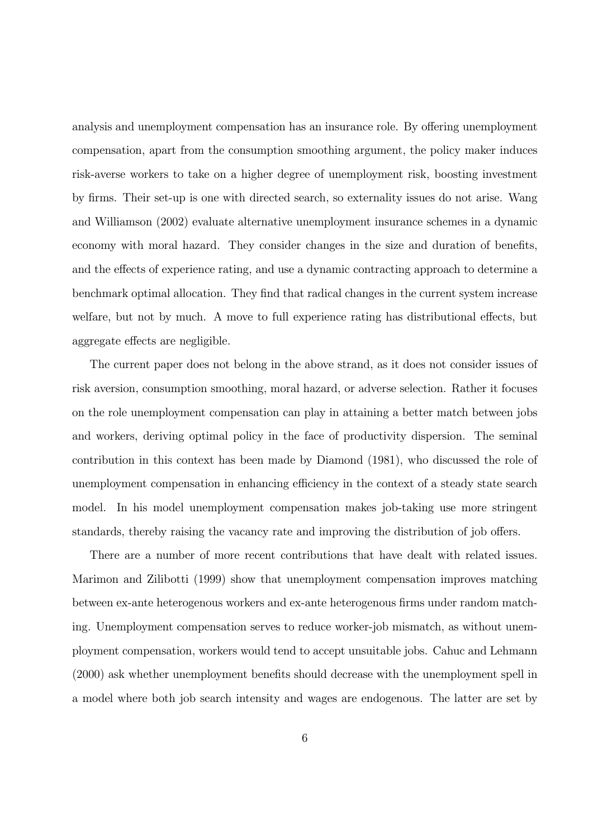analysis and unemployment compensation has an insurance role. By offering unemployment compensation, apart from the consumption smoothing argument, the policy maker induces risk-averse workers to take on a higher degree of unemployment risk, boosting investment by firms. Their set-up is one with directed search, so externality issues do not arise. Wang and Williamson (2002) evaluate alternative unemployment insurance schemes in a dynamic economy with moral hazard. They consider changes in the size and duration of benefits, and the effects of experience rating, and use a dynamic contracting approach to determine a benchmark optimal allocation. They find that radical changes in the current system increase welfare, but not by much. A move to full experience rating has distributional effects, but aggregate effects are negligible.

The current paper does not belong in the above strand, as it does not consider issues of risk aversion, consumption smoothing, moral hazard, or adverse selection. Rather it focuses on the role unemployment compensation can play in attaining a better match between jobs and workers, deriving optimal policy in the face of productivity dispersion. The seminal contribution in this context has been made by Diamond (1981), who discussed the role of unemployment compensation in enhancing efficiency in the context of a steady state search model. In his model unemployment compensation makes job-taking use more stringent standards, thereby raising the vacancy rate and improving the distribution of job offers.

There are a number of more recent contributions that have dealt with related issues. Marimon and Zilibotti (1999) show that unemployment compensation improves matching between ex-ante heterogenous workers and ex-ante heterogenous firms under random matching. Unemployment compensation serves to reduce worker-job mismatch, as without unemployment compensation, workers would tend to accept unsuitable jobs. Cahuc and Lehmann (2000) ask whether unemployment benefits should decrease with the unemployment spell in a model where both job search intensity and wages are endogenous. The latter are set by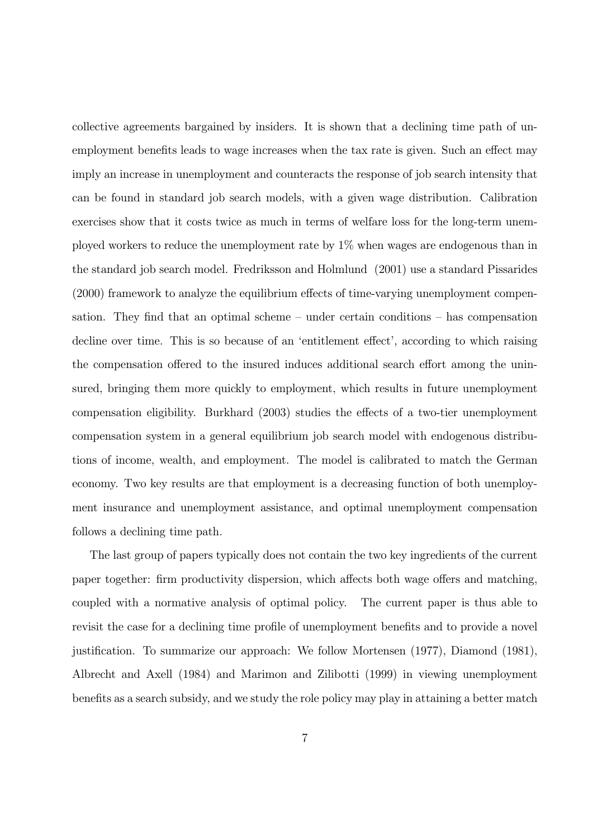collective agreements bargained by insiders. It is shown that a declining time path of unemployment benefits leads to wage increases when the tax rate is given. Such an effect may imply an increase in unemployment and counteracts the response of job search intensity that can be found in standard job search models, with a given wage distribution. Calibration exercises show that it costs twice as much in terms of welfare loss for the long-term unemployed workers to reduce the unemployment rate by 1% when wages are endogenous than in the standard job search model. Fredriksson and Holmlund (2001) use a standard Pissarides (2000) framework to analyze the equilibrium effects of time-varying unemployment compensation. They find that an optimal scheme — under certain conditions — has compensation decline over time. This is so because of an 'entitlement effect', according to which raising the compensation offered to the insured induces additional search effort among the uninsured, bringing them more quickly to employment, which results in future unemployment compensation eligibility. Burkhard (2003) studies the effects of a two-tier unemployment compensation system in a general equilibrium job search model with endogenous distributions of income, wealth, and employment. The model is calibrated to match the German economy. Two key results are that employment is a decreasing function of both unemployment insurance and unemployment assistance, and optimal unemployment compensation follows a declining time path.

The last group of papers typically does not contain the two key ingredients of the current paper together: firm productivity dispersion, which affects both wage offers and matching, coupled with a normative analysis of optimal policy. The current paper is thus able to revisit the case for a declining time profile of unemployment benefits and to provide a novel justification. To summarize our approach: We follow Mortensen (1977), Diamond (1981), Albrecht and Axell (1984) and Marimon and Zilibotti (1999) in viewing unemployment benefits as a search subsidy, and we study the role policy may play in attaining a better match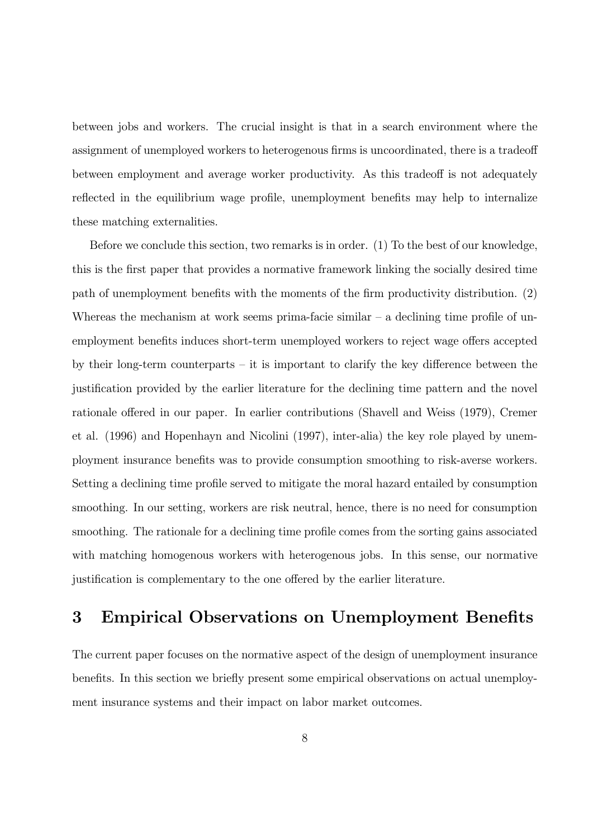between jobs and workers. The crucial insight is that in a search environment where the assignment of unemployed workers to heterogenous firms is uncoordinated, there is a tradeoff between employment and average worker productivity. As this tradeoff is not adequately reflected in the equilibrium wage profile, unemployment benefits may help to internalize these matching externalities.

Before we conclude this section, two remarks is in order. (1) To the best of our knowledge, this is the first paper that provides a normative framework linking the socially desired time path of unemployment benefits with the moments of the firm productivity distribution. (2) Whereas the mechanism at work seems prima-facie similar  $-$  a declining time profile of unemployment benefits induces short-term unemployed workers to reject wage offers accepted by their long-term counterparts — it is important to clarify the key difference between the justification provided by the earlier literature for the declining time pattern and the novel rationale offered in our paper. In earlier contributions (Shavell and Weiss (1979), Cremer et al. (1996) and Hopenhayn and Nicolini (1997), inter-alia) the key role played by unemployment insurance benefits was to provide consumption smoothing to risk-averse workers. Setting a declining time profile served to mitigate the moral hazard entailed by consumption smoothing. In our setting, workers are risk neutral, hence, there is no need for consumption smoothing. The rationale for a declining time profile comes from the sorting gains associated with matching homogenous workers with heterogenous jobs. In this sense, our normative justification is complementary to the one offered by the earlier literature.

# 3 Empirical Observations on Unemployment Benefits

The current paper focuses on the normative aspect of the design of unemployment insurance benefits. In this section we briefly present some empirical observations on actual unemployment insurance systems and their impact on labor market outcomes.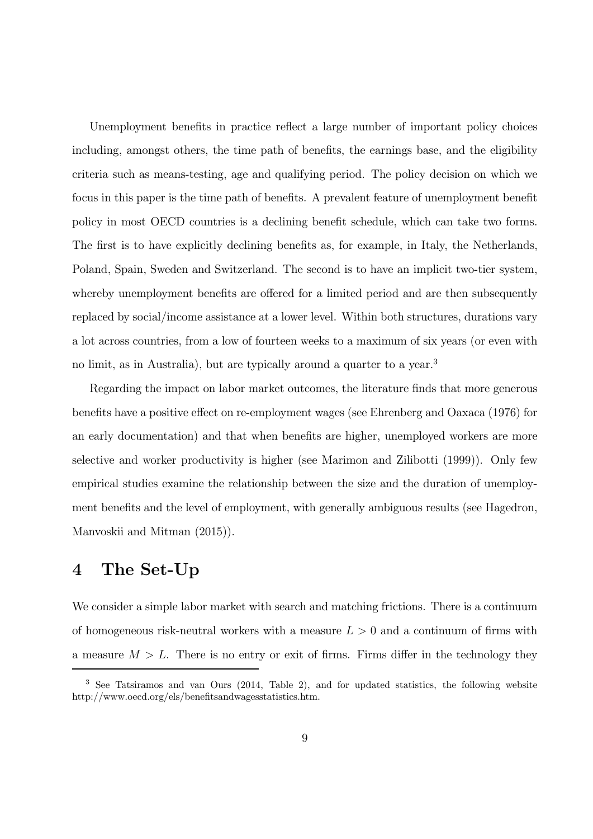Unemployment benefits in practice reflect a large number of important policy choices including, amongst others, the time path of benefits, the earnings base, and the eligibility criteria such as means-testing, age and qualifying period. The policy decision on which we focus in this paper is the time path of benefits. A prevalent feature of unemployment benefit policy in most OECD countries is a declining benefit schedule, which can take two forms. The first is to have explicitly declining benefits as, for example, in Italy, the Netherlands, Poland, Spain, Sweden and Switzerland. The second is to have an implicit two-tier system, whereby unemployment benefits are offered for a limited period and are then subsequently replaced by social/income assistance at a lower level. Within both structures, durations vary a lot across countries, from a low of fourteen weeks to a maximum of six years (or even with no limit, as in Australia), but are typically around a quarter to a year.<sup>3</sup>

Regarding the impact on labor market outcomes, the literature finds that more generous benefits have a positive effect on re-employment wages (see Ehrenberg and Oaxaca (1976) for an early documentation) and that when benefits are higher, unemployed workers are more selective and worker productivity is higher (see Marimon and Zilibotti (1999)). Only few empirical studies examine the relationship between the size and the duration of unemployment benefits and the level of employment, with generally ambiguous results (see Hagedron, Manvoskii and Mitman (2015)).

### 4 The Set-Up

We consider a simple labor market with search and matching frictions. There is a continuum of homogeneous risk-neutral workers with a measure  $L > 0$  and a continuum of firms with a measure  $M > L$ . There is no entry or exit of firms. Firms differ in the technology they

<sup>&</sup>lt;sup>3</sup> See Tatsiramos and van Ours (2014, Table 2), and for updated statistics, the following website http://www.oecd.org/els/benefitsandwagesstatistics.htm.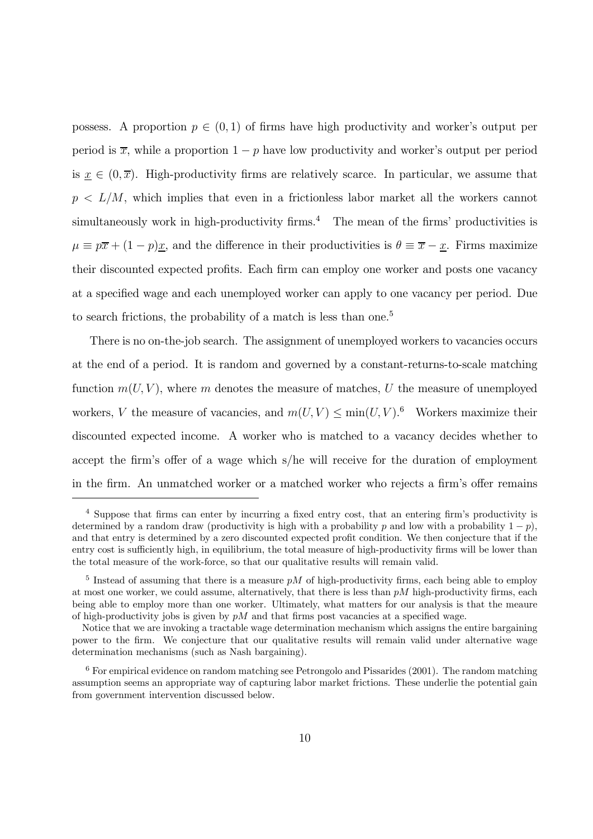possess. A proportion  $p \in (0,1)$  of firms have high productivity and worker's output per period is  $\overline{x}$ , while a proportion 1 – p have low productivity and worker's output per period is  $x \in (0, \overline{x})$ . High-productivity firms are relatively scarce. In particular, we assume that  $p \lt L/M$ , which implies that even in a frictionless labor market all the workers cannot simultaneously work in high-productivity firms.<sup>4</sup> The mean of the firms' productivities is  $\mu \equiv p\overline{x} + (1-p)\underline{x}$ , and the difference in their productivities is  $\theta \equiv \overline{x} - \underline{x}$ . Firms maximize their discounted expected profits. Each firm can employ one worker and posts one vacancy at a specified wage and each unemployed worker can apply to one vacancy per period. Due to search frictions, the probability of a match is less than one.<sup>5</sup>

There is no on-the-job search. The assignment of unemployed workers to vacancies occurs at the end of a period. It is random and governed by a constant-returns-to-scale matching function  $m(U, V)$ , where m denotes the measure of matches, U the measure of unemployed workers, V the measure of vacancies, and  $m(U, V) \le \min(U, V)$ .<sup>6</sup> Workers maximize their discounted expected income. A worker who is matched to a vacancy decides whether to accept the firm's offer of a wage which s/he will receive for the duration of employment in the firm. An unmatched worker or a matched worker who rejects a firm's offer remains

<sup>4</sup> Suppose that firms can enter by incurring a fixed entry cost, that an entering firm's productivity is determined by a random draw (productivity is high with a probability  $p$  and low with a probability  $1 - p$ ), and that entry is determined by a zero discounted expected profit condition. We then conjecture that if the entry cost is sufficiently high, in equilibrium, the total measure of high-productivity firms will be lower than the total measure of the work-force, so that our qualitative results will remain valid.

<sup>&</sup>lt;sup>5</sup> Instead of assuming that there is a measure  $pM$  of high-productivity firms, each being able to employ at most one worker, we could assume, alternatively, that there is less than  $pM$  high-productivity firms, each being able to employ more than one worker. Ultimately, what matters for our analysis is that the meaure of high-productivity jobs is given by  $pM$  and that firms post vacancies at a specified wage.

Notice that we are invoking a tractable wage determination mechanism which assigns the entire bargaining power to the firm. We conjecture that our qualitative results will remain valid under alternative wage determination mechanisms (such as Nash bargaining).

<sup>6</sup> For empirical evidence on random matching see Petrongolo and Pissarides (2001). The random matching assumption seems an appropriate way of capturing labor market frictions. These underlie the potential gain from government intervention discussed below.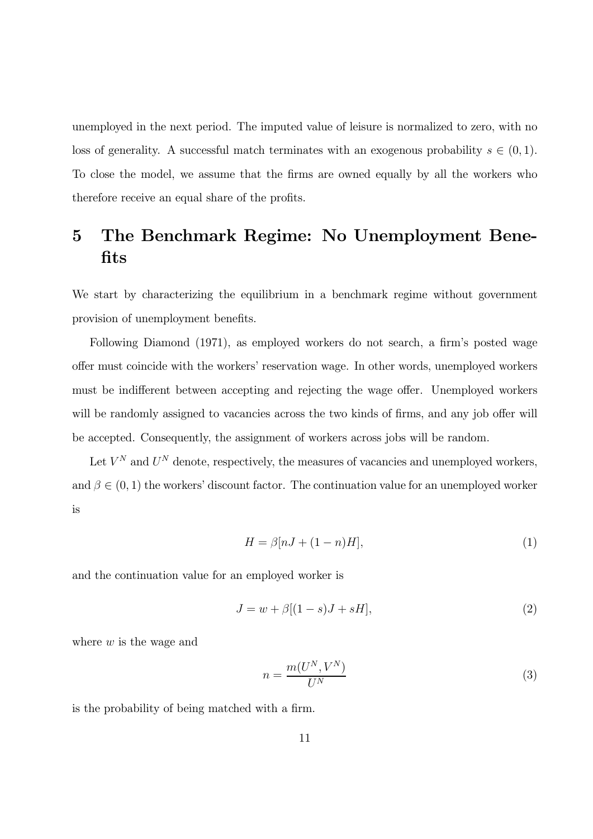unemployed in the next period. The imputed value of leisure is normalized to zero, with no loss of generality. A successful match terminates with an exogenous probability  $s \in (0,1)$ . To close the model, we assume that the firms are owned equally by all the workers who therefore receive an equal share of the profits.

# 5 The Benchmark Regime: No Unemployment Benefits

We start by characterizing the equilibrium in a benchmark regime without government provision of unemployment benefits.

Following Diamond (1971), as employed workers do not search, a firm's posted wage offer must coincide with the workers' reservation wage. In other words, unemployed workers must be indifferent between accepting and rejecting the wage offer. Unemployed workers will be randomly assigned to vacancies across the two kinds of firms, and any job offer will be accepted. Consequently, the assignment of workers across jobs will be random.

Let  $V^N$  and  $U^N$  denote, respectively, the measures of vacancies and unemployed workers, and  $\beta \in (0,1)$  the workers' discount factor. The continuation value for an unemployed worker is

$$
H = \beta[nJ + (1 - n)H],\tag{1}
$$

and the continuation value for an employed worker is

$$
J = w + \beta [(1 - s)J + sH], \tag{2}
$$

where  $w$  is the wage and

$$
n = \frac{m(U^N, V^N)}{U^N} \tag{3}
$$

is the probability of being matched with a firm.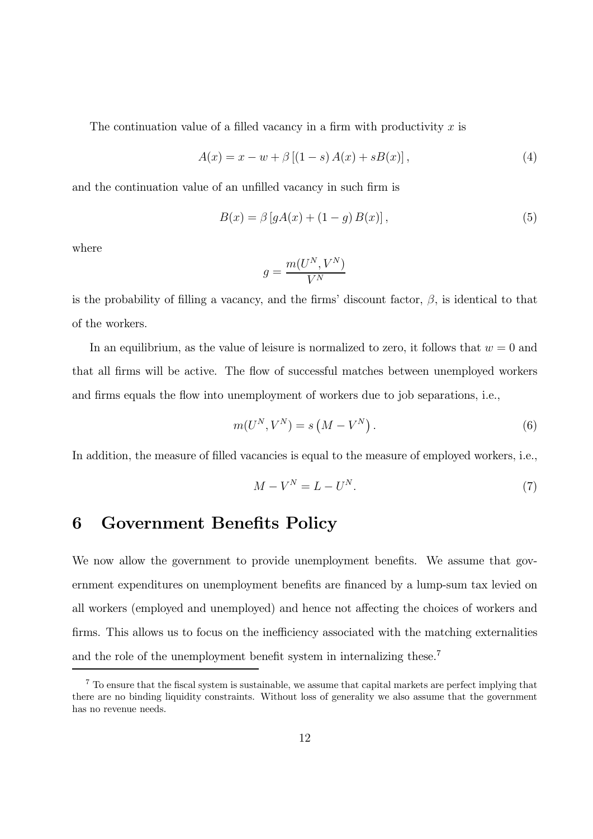The continuation value of a filled vacancy in a firm with productivity  $x$  is

$$
A(x) = x - w + \beta [(1 - s) A(x) + sB(x)],
$$
\n(4)

and the continuation value of an unfilled vacancy in such firm is

$$
B(x) = \beta [gA(x) + (1 - g) B(x)],
$$
\n(5)

where

$$
g = \frac{m(U^N, V^N)}{V^N}
$$

is the probability of filling a vacancy, and the firms' discount factor,  $\beta$ , is identical to that of the workers.

In an equilibrium, as the value of leisure is normalized to zero, it follows that  $w = 0$  and that all firms will be active. The flow of successful matches between unemployed workers and firms equals the flow into unemployment of workers due to job separations, i.e.,

$$
m(U^N, V^N) = s\left(M - V^N\right). \tag{6}
$$

In addition, the measure of filled vacancies is equal to the measure of employed workers, i.e.,

$$
M - V^N = L - U^N. \tag{7}
$$

### 6 Government Benefits Policy

We now allow the government to provide unemployment benefits. We assume that government expenditures on unemployment benefits are financed by a lump-sum tax levied on all workers (employed and unemployed) and hence not affecting the choices of workers and firms. This allows us to focus on the inefficiency associated with the matching externalities and the role of the unemployment benefit system in internalizing these.<sup>7</sup>

<sup>7</sup> To ensure that the fiscal system is sustainable, we assume that capital markets are perfect implying that there are no binding liquidity constraints. Without loss of generality we also assume that the government has no revenue needs.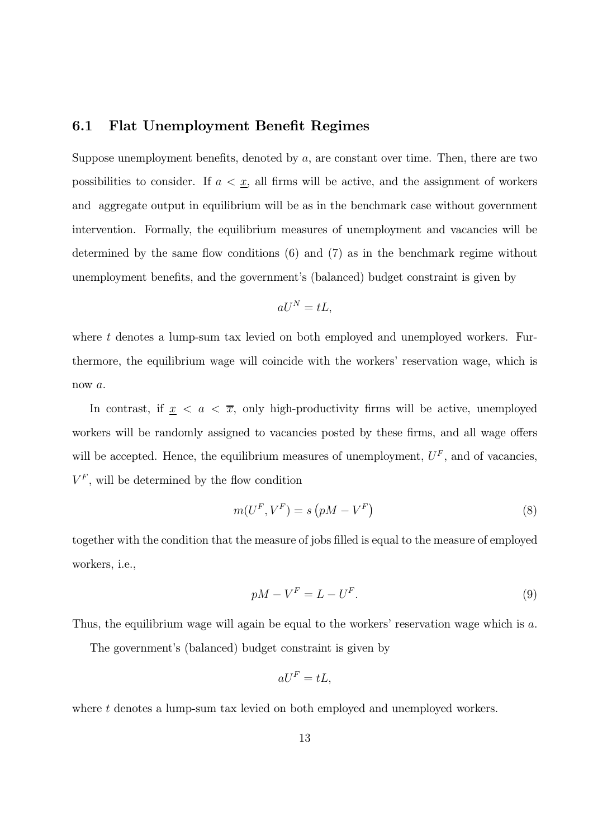### 6.1 Flat Unemployment Benefit Regimes

Suppose unemployment benefits, denoted by  $a$ , are constant over time. Then, there are two possibilities to consider. If  $a < \underline{x}$ , all firms will be active, and the assignment of workers and aggregate output in equilibrium will be as in the benchmark case without government intervention. Formally, the equilibrium measures of unemployment and vacancies will be determined by the same flow conditions (6) and (7) as in the benchmark regime without unemployment benefits, and the government's (balanced) budget constraint is given by

$$
aU^N=tL,
$$

where  $t$  denotes a lump-sum tax levied on both employed and unemployed workers. Furthermore, the equilibrium wage will coincide with the workers' reservation wage, which is now  $a$ .

In contrast, if  $x < a < \overline{x}$ , only high-productivity firms will be active, unemployed workers will be randomly assigned to vacancies posted by these firms, and all wage offers will be accepted. Hence, the equilibrium measures of unemployment,  $U<sup>F</sup>$ , and of vacancies,  $V<sup>F</sup>$ , will be determined by the flow condition

$$
m(U^F, V^F) = s\left(pM - V^F\right) \tag{8}
$$

together with the condition that the measure of jobs filled is equal to the measure of employed workers, i.e.,

$$
pM - V^F = L - U^F. \tag{9}
$$

Thus, the equilibrium wage will again be equal to the workers' reservation wage which is  $a$ .

The government's (balanced) budget constraint is given by

$$
aU^F=tL,
$$

where  $t$  denotes a lump-sum tax levied on both employed and unemployed workers.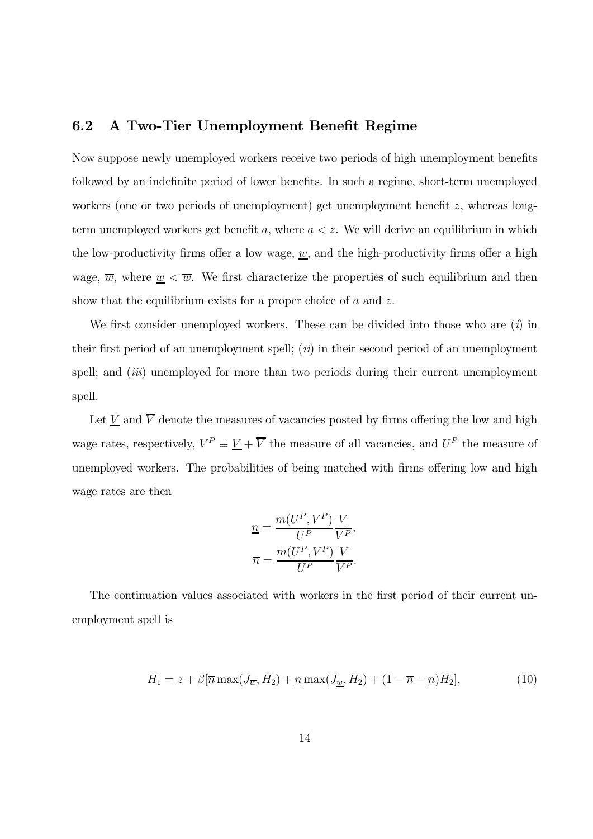### 6.2 A Two-Tier Unemployment Benefit Regime

Now suppose newly unemployed workers receive two periods of high unemployment benefits followed by an indefinite period of lower benefits. In such a regime, short-term unemployed workers (one or two periods of unemployment) get unemployment benefit  $z$ , whereas longterm unemployed workers get benefit  $a$ , where  $a < z$ . We will derive an equilibrium in which the low-productivity firms offer a low wage,  $\underline{w}$ , and the high-productivity firms offer a high wage,  $\overline{w}$ , where  $\underline{w} < \overline{w}$ . We first characterize the properties of such equilibrium and then show that the equilibrium exists for a proper choice of  $a$  and  $z$ .

We first consider unemployed workers. These can be divided into those who are  $(i)$  in their first period of an unemployment spell;  $(ii)$  in their second period of an unemployment spell; and *(iii)* unemployed for more than two periods during their current unemployment spell.

Let  $\underline{V}$  and  $\overline{V}$  denote the measures of vacancies posted by firms offering the low and high wage rates, respectively,  $V^P \equiv \underline{V} + \overline{V}$  the measure of all vacancies, and  $U^P$  the measure of unemployed workers. The probabilities of being matched with firms offering low and high wage rates are then

$$
\underline{n} = \frac{m(U^P, V^P)}{U^P} \frac{V}{V^P},
$$

$$
\overline{n} = \frac{m(U^P, V^P)}{U^P} \frac{\overline{V}}{V^P}.
$$

The continuation values associated with workers in the first period of their current unemployment spell is

$$
H_1 = z + \beta[\overline{n}\max(J_{\overline{w}}, H_2) + \underline{n}\max(J_{\underline{w}}, H_2) + (1 - \overline{n} - \underline{n})H_2],\tag{10}
$$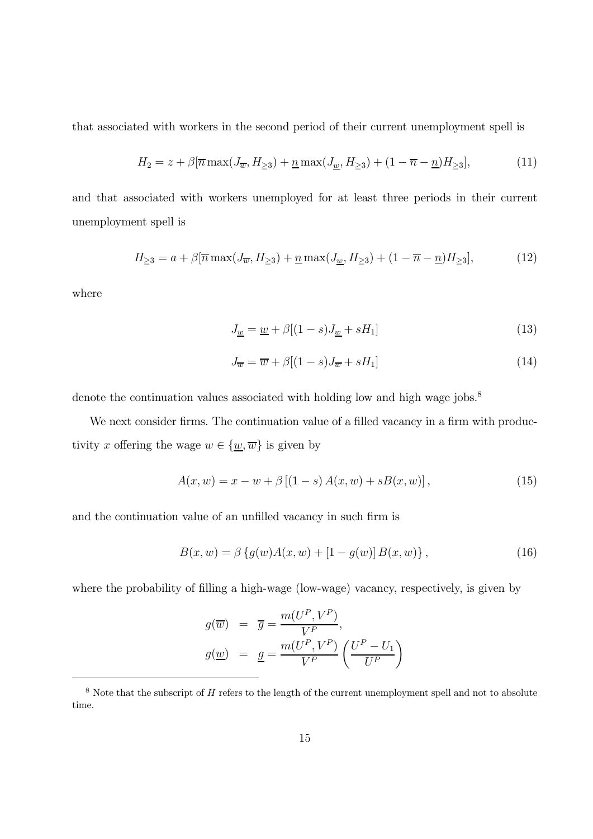that associated with workers in the second period of their current unemployment spell is

$$
H_2 = z + \beta[\overline{n} \max(J_{\overline{w}}, H_{\geq 3}) + \underline{n} \max(J_{\underline{w}}, H_{\geq 3}) + (1 - \overline{n} - \underline{n})H_{\geq 3}],
$$
\n(11)

and that associated with workers unemployed for at least three periods in their current unemployment spell is

$$
H_{\geq 3} = a + \beta[\overline{n} \max(J_{\overline{w}}, H_{\geq 3}) + \underline{n} \max(J_{\underline{w}}, H_{\geq 3}) + (1 - \overline{n} - \underline{n})H_{\geq 3}],
$$
(12)

where

$$
J_{\underline{w}} = \underline{w} + \beta [(1 - s)J_{\underline{w}} + sH_1]
$$
\n(13)

$$
J_{\overline{w}} = \overline{w} + \beta [(1 - s)J_{\overline{w}} + sH_1]
$$
\n(14)

denote the continuation values associated with holding low and high wage jobs.<sup>8</sup>

We next consider firms. The continuation value of a filled vacancy in a firm with productivity x offering the wage  $w \in {\underline{w}, \overline{w}}$  is given by

$$
A(x, w) = x - w + \beta [(1 - s) A(x, w) + sB(x, w)],
$$
\n(15)

and the continuation value of an unfilled vacancy in such firm is

$$
B(x, w) = \beta \{ g(w)A(x, w) + [1 - g(w)] B(x, w) \},
$$
\n(16)

where the probability of filling a high-wage (low-wage) vacancy, respectively, is given by

$$
g(\overline{w}) = \overline{g} = \frac{m(U^P, V^P)}{V^P},
$$
  

$$
g(\underline{w}) = \underline{g} = \frac{m(U^P, V^P)}{V^P} \left(\frac{U^P - U_1}{U^P}\right)
$$

 $8$  Note that the subscript of  $H$  refers to the length of the current unemployment spell and not to absolute time.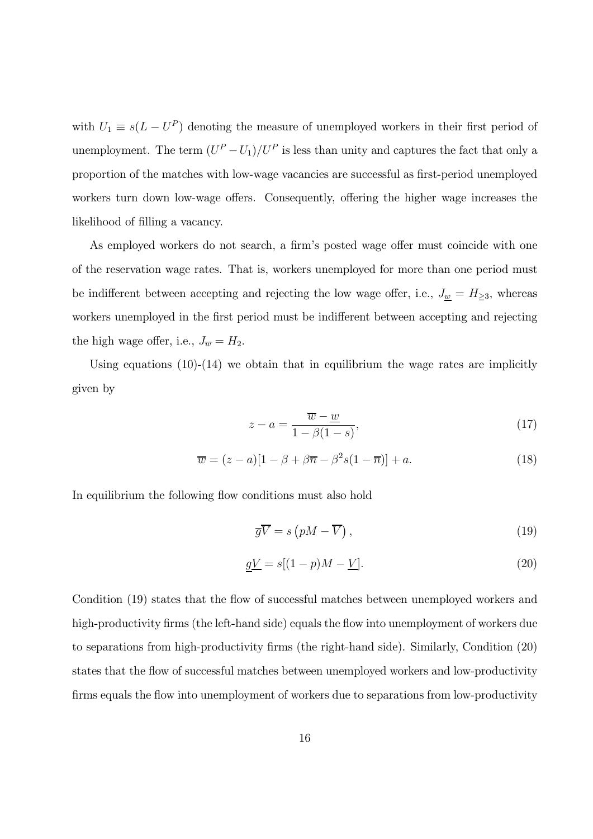with  $U_1 \equiv s(L - U^P)$  denoting the measure of unemployed workers in their first period of unemployment. The term  $(U^P - U_1) / U^P$  is less than unity and captures the fact that only a proportion of the matches with low-wage vacancies are successful as first-period unemployed workers turn down low-wage offers. Consequently, offering the higher wage increases the likelihood of filling a vacancy.

As employed workers do not search, a firm's posted wage offer must coincide with one of the reservation wage rates. That is, workers unemployed for more than one period must be indifferent between accepting and rejecting the low wage offer, i.e.,  $J_{\underline{w}} = H_{\geq 3}$ , whereas workers unemployed in the first period must be indifferent between accepting and rejecting the high wage offer, i.e.,  $J_{\overline{w}} = H_2$ .

Using equations  $(10)-(14)$  we obtain that in equilibrium the wage rates are implicitly given by

$$
z - a = \frac{\overline{w} - \underline{w}}{1 - \beta(1 - s)},\tag{17}
$$

$$
\overline{w} = (z - a)[1 - \beta + \beta \overline{n} - \beta^2 s(1 - \overline{n})] + a.
$$
\n(18)

In equilibrium the following flow conditions must also hold

$$
\overline{g}\overline{V} = s\left(pM - \overline{V}\right),\tag{19}
$$

$$
\underline{gV} = s[(1-p)M - \underline{V}].\tag{20}
$$

Condition (19) states that the flow of successful matches between unemployed workers and high-productivity firms (the left-hand side) equals the flow into unemployment of workers due to separations from high-productivity firms (the right-hand side). Similarly, Condition (20) states that the flow of successful matches between unemployed workers and low-productivity firms equals the flow into unemployment of workers due to separations from low-productivity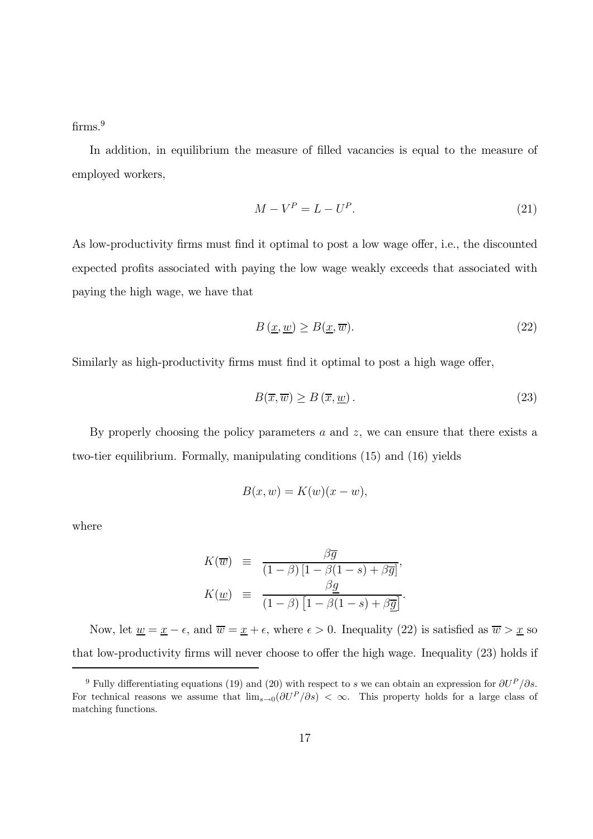firms.<sup>9</sup>

In addition, in equilibrium the measure of filled vacancies is equal to the measure of employed workers,

$$
M - V^P = L - U^P. \tag{21}
$$

As low-productivity firms must find it optimal to post a low wage offer, i.e., the discounted expected profits associated with paying the low wage weakly exceeds that associated with paying the high wage, we have that

$$
B\left(\underline{x}, \underline{w}\right) \ge B(\underline{x}, \overline{w}).\tag{22}
$$

Similarly as high-productivity firms must find it optimal to post a high wage offer,

$$
B(\overline{x}, \overline{w}) \ge B(\overline{x}, \underline{w}). \tag{23}
$$

By properly choosing the policy parameters  $a$  and  $z$ , we can ensure that there exists a two-tier equilibrium. Formally, manipulating conditions (15) and (16) yields

$$
B(x, w) = K(w)(x - w),
$$

where

$$
K(\overline{w}) \equiv \frac{\beta \overline{g}}{(1-\beta)\left[1-\beta(1-s)+\beta \overline{g}\right]},
$$
  

$$
K(\underline{w}) \equiv \frac{\beta \underline{g}}{(1-\beta)\left[1-\beta(1-s)+\beta \overline{g}\right]}.
$$

Now, let  $\underline{w} = \underline{x} - \epsilon$ , and  $\overline{w} = \underline{x} + \epsilon$ , where  $\epsilon > 0$ . Inequality (22) is satisfied as  $\overline{w} > \underline{x}$  so that low-productivity firms will never choose to offer the high wage. Inequality (23) holds if

<sup>&</sup>lt;sup>9</sup> Fully differentiating equations (19) and (20) with respect to *s* we can obtain an expression for  $\partial U^P/\partial s$ . For technical reasons we assume that  $\lim_{s\to 0} (\partial U^P/\partial s) < \infty$ . This property holds for a large class of matching functions.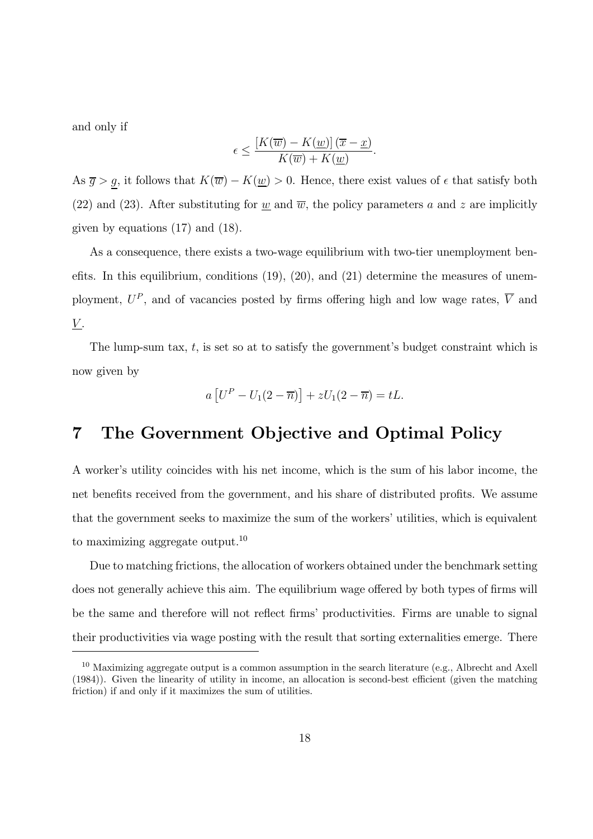and only if

$$
\epsilon \le \frac{[K(\overline{w}) - K(\underline{w})](\overline{x} - \underline{x})}{K(\overline{w}) + K(\underline{w})}.
$$

As  $\overline{g} > \underline{g}$ , it follows that  $K(\overline{w}) - K(\underline{w}) > 0$ . Hence, there exist values of  $\epsilon$  that satisfy both (22) and (23). After substituting for  $\underline{w}$  and  $\overline{w}$ , the policy parameters a and z are implicitly given by equations (17) and (18).

As a consequence, there exists a two-wage equilibrium with two-tier unemployment benefits. In this equilibrium, conditions  $(19)$ ,  $(20)$ , and  $(21)$  determine the measures of unemployment,  $U^P$ , and of vacancies posted by firms offering high and low wage rates,  $\overline{V}$  and <u>V</u>.

The lump-sum tax,  $t$ , is set so at to satisfy the government's budget constraint which is now given by

$$
a [UP - U1(2 - \overline{n})] + zU1(2 - \overline{n}) = tL.
$$

# 7 The Government Objective and Optimal Policy

A worker's utility coincides with his net income, which is the sum of his labor income, the net benefits received from the government, and his share of distributed profits. We assume that the government seeks to maximize the sum of the workers' utilities, which is equivalent to maximizing aggregate output.<sup>10</sup>

Due to matching frictions, the allocation of workers obtained under the benchmark setting does not generally achieve this aim. The equilibrium wage offered by both types of firms will be the same and therefore will not reflect firms' productivities. Firms are unable to signal their productivities via wage posting with the result that sorting externalities emerge. There

<sup>&</sup>lt;sup>10</sup> Maximizing aggregate output is a common assumption in the search literature (e.g., Albrecht and Axell (1984)). Given the linearity of utility in income, an allocation is second-best efficient (given the matching friction) if and only if it maximizes the sum of utilities.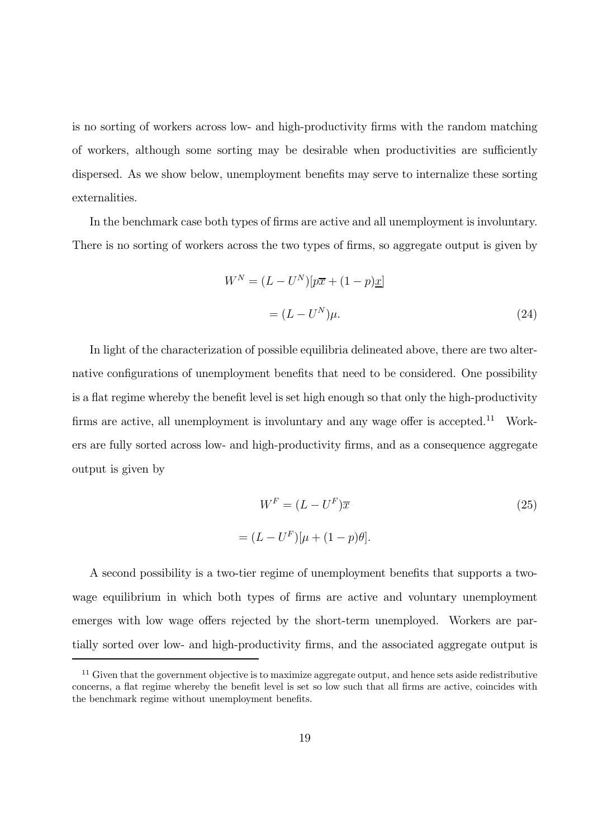is no sorting of workers across low- and high-productivity firms with the random matching of workers, although some sorting may be desirable when productivities are sufficiently dispersed. As we show below, unemployment benefits may serve to internalize these sorting externalities.

In the benchmark case both types of firms are active and all unemployment is involuntary. There is no sorting of workers across the two types of firms, so aggregate output is given by

$$
W^N = (L - U^N)[p\overline{x} + (1 - p)\underline{x}]
$$

$$
= (L - U^N)\mu.
$$
 (24)

In light of the characterization of possible equilibria delineated above, there are two alternative configurations of unemployment benefits that need to be considered. One possibility is a flat regime whereby the benefit level is set high enough so that only the high-productivity firms are active, all unemployment is involuntary and any wage offer is accepted.<sup>11</sup> Workers are fully sorted across low- and high-productivity firms, and as a consequence aggregate output is given by

$$
W^F = (L - U^F)\overline{x}
$$
  
=  $(L - U^F)[\mu + (1 - p)\theta].$  (25)

A second possibility is a two-tier regime of unemployment benefits that supports a twowage equilibrium in which both types of firms are active and voluntary unemployment emerges with low wage offers rejected by the short-term unemployed. Workers are partially sorted over low- and high-productivity firms, and the associated aggregate output is

 $11$  Given that the government objective is to maximize aggregate output, and hence sets aside redistributive concerns, a flat regime whereby the benefit level is set so low such that all firms are active, coincides with the benchmark regime without unemployment benefits.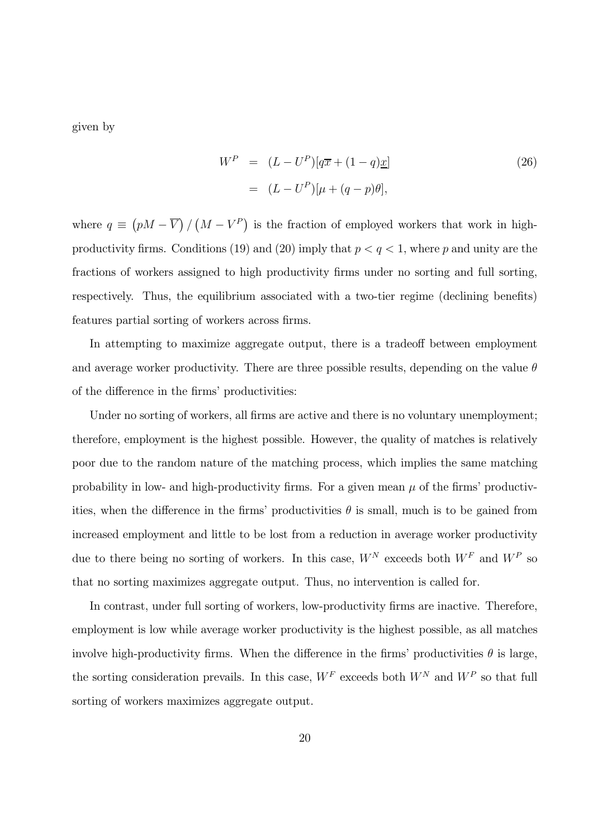given by

$$
W^{P} = (L - U^{P})[q\overline{x} + (1 - q)\underline{x}]
$$
\n
$$
= (L - U^{P})[\mu + (q - p)\theta],
$$
\n(26)

where  $q \equiv (pM - \overline{V}) / (M - V^P)$  is the fraction of employed workers that work in highproductivity firms. Conditions (19) and (20) imply that  $p < q < 1$ , where  $p$  and unity are the fractions of workers assigned to high productivity firms under no sorting and full sorting, respectively. Thus, the equilibrium associated with a two-tier regime (declining benefits) features partial sorting of workers across firms.

In attempting to maximize aggregate output, there is a tradeoff between employment and average worker productivity. There are three possible results, depending on the value  $\theta$ of the difference in the firms' productivities:

Under no sorting of workers, all firms are active and there is no voluntary unemployment; therefore, employment is the highest possible. However, the quality of matches is relatively poor due to the random nature of the matching process, which implies the same matching probability in low- and high-productivity firms. For a given mean  $\mu$  of the firms' productivities, when the difference in the firms' productivities  $\theta$  is small, much is to be gained from increased employment and little to be lost from a reduction in average worker productivity due to there being no sorting of workers. In this case,  $W^N$  exceeds both  $W^F$  and  $W^P$  so that no sorting maximizes aggregate output. Thus, no intervention is called for.

In contrast, under full sorting of workers, low-productivity firms are inactive. Therefore, employment is low while average worker productivity is the highest possible, as all matches involve high-productivity firms. When the difference in the firms' productivities  $\theta$  is large, the sorting consideration prevails. In this case,  $W^F$  exceeds both  $W^N$  and  $W^P$  so that full sorting of workers maximizes aggregate output.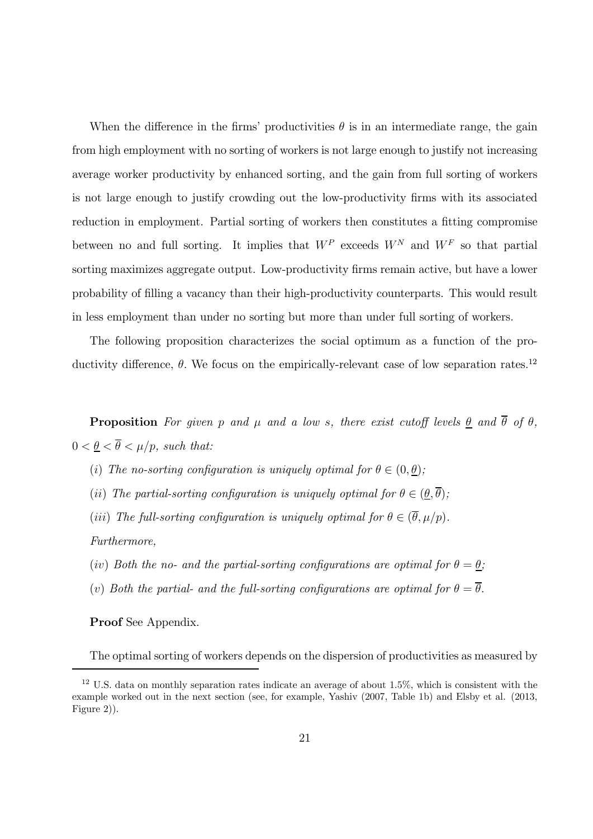When the difference in the firms' productivities  $\theta$  is in an intermediate range, the gain from high employment with no sorting of workers is not large enough to justify not increasing average worker productivity by enhanced sorting, and the gain from full sorting of workers is not large enough to justify crowding out the low-productivity firms with its associated reduction in employment. Partial sorting of workers then constitutes a fitting compromise between no and full sorting. It implies that  $W^P$  exceeds  $W^N$  and  $W^F$  so that partial sorting maximizes aggregate output. Low-productivity firms remain active, but have a lower probability of filling a vacancy than their high-productivity counterparts. This would result in less employment than under no sorting but more than under full sorting of workers.

The following proposition characterizes the social optimum as a function of the productivity difference,  $\theta$ . We focus on the empirically-relevant case of low separation rates.<sup>12</sup>

**Proposition** For given p and  $\mu$  and a low s, there exist cutoff levels  $\underline{\theta}$  and  $\overline{\theta}$  of  $\theta$ ,  $0 < \underline{\theta} < \overline{\theta} < \mu/p$ , such that:

- (i) The no-sorting configuration is uniquely optimal for  $\theta \in (0, \theta)$ ;
- (ii) The partial-sorting configuration is uniquely optimal for  $\theta \in (\underline{\theta}, \overline{\theta})$ ;
- (*iii*) The full-sorting configuration is uniquely optimal for  $\theta \in (\overline{\theta}, \mu/p)$ .

Furthermore,

(iv) Both the no- and the partial-sorting configurations are optimal for  $\theta = \theta$ ;

(v) Both the partial- and the full-sorting configurations are optimal for  $\theta = \overline{\theta}$ .

Proof See Appendix.

The optimal sorting of workers depends on the dispersion of productivities as measured by

<sup>12</sup> U.S. data on monthly separation rates indicate an average of about 1.5%, which is consistent with the example worked out in the next section (see, for example, Yashiv (2007, Table 1b) and Elsby et al. (2013, Figure 2)).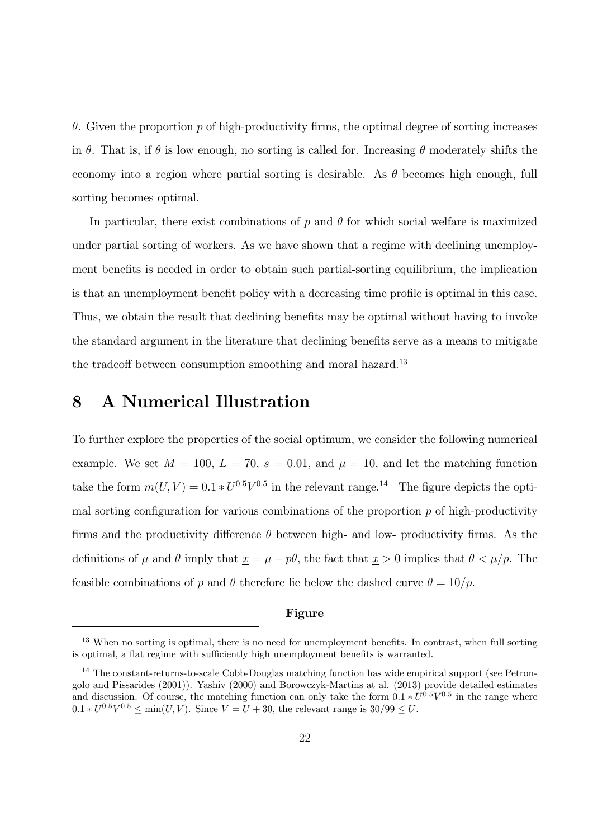$\theta$ . Given the proportion p of high-productivity firms, the optimal degree of sorting increases in  $\theta$ . That is, if  $\theta$  is low enough, no sorting is called for. Increasing  $\theta$  moderately shifts the economy into a region where partial sorting is desirable. As  $\theta$  becomes high enough, full sorting becomes optimal.

In particular, there exist combinations of  $p$  and  $\theta$  for which social welfare is maximized under partial sorting of workers. As we have shown that a regime with declining unemployment benefits is needed in order to obtain such partial-sorting equilibrium, the implication is that an unemployment benefit policy with a decreasing time profile is optimal in this case. Thus, we obtain the result that declining benefits may be optimal without having to invoke the standard argument in the literature that declining benefits serve as a means to mitigate the tradeoff between consumption smoothing and moral hazard.<sup>13</sup>

### 8 A Numerical Illustration

To further explore the properties of the social optimum, we consider the following numerical example. We set  $M = 100$ ,  $L = 70$ ,  $s = 0.01$ , and  $\mu = 10$ , and let the matching function take the form  $m(U, V) = 0.1 * U^{0.5} V^{0.5}$  in the relevant range.<sup>14</sup> The figure depicts the optimal sorting configuration for various combinations of the proportion  $p$  of high-productivity firms and the productivity difference  $\theta$  between high- and low- productivity firms. As the definitions of  $\mu$  and  $\theta$  imply that  $\underline{x} = \mu - p\theta$ , the fact that  $\underline{x} > 0$  implies that  $\theta < \mu/p$ . The feasible combinations of p and  $\theta$  therefore lie below the dashed curve  $\theta = 10/p$ .

### Figure

<sup>&</sup>lt;sup>13</sup> When no sorting is optimal, there is no need for unemployment benefits. In contrast, when full sorting is optimal, a flat regime with sufficiently high unemployment benefits is warranted.

<sup>14</sup> The constant-returns-to-scale Cobb-Douglas matching function has wide empirical support (see Petrongolo and Pissarides (2001)). Yashiv (2000) and Borowczyk-Martins at al. (2013) provide detailed estimates and discussion. Of course, the matching function can only take the form  $0.1 * U^{0.5} V^{0.5}$  in the range where  $0.1 * U^{0.5}V^{0.5} \le \min(U, V)$ . Since  $V = U + 30$ , the relevant range is  $30/99 \le U$ .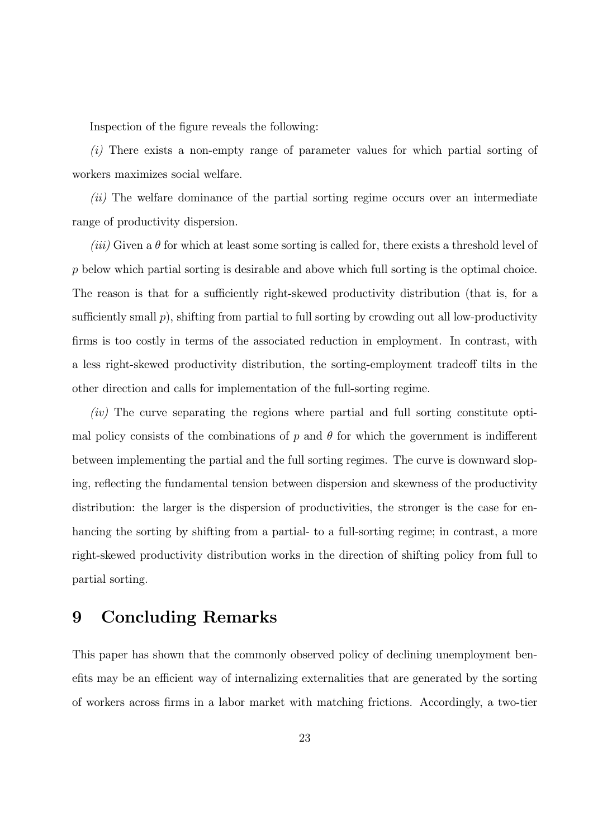Inspection of the figure reveals the following:

(i) There exists a non-empty range of parameter values for which partial sorting of workers maximizes social welfare.

(ii) The welfare dominance of the partial sorting regime occurs over an intermediate range of productivity dispersion.

(iii) Given a  $\theta$  for which at least some sorting is called for, there exists a threshold level of  $p$  below which partial sorting is desirable and above which full sorting is the optimal choice. The reason is that for a sufficiently right-skewed productivity distribution (that is, for a sufficiently small  $p$ , shifting from partial to full sorting by crowding out all low-productivity firms is too costly in terms of the associated reduction in employment. In contrast, with a less right-skewed productivity distribution, the sorting-employment tradeoff tilts in the other direction and calls for implementation of the full-sorting regime.

(iv) The curve separating the regions where partial and full sorting constitute optimal policy consists of the combinations of  $p$  and  $\theta$  for which the government is indifferent between implementing the partial and the full sorting regimes. The curve is downward sloping, reflecting the fundamental tension between dispersion and skewness of the productivity distribution: the larger is the dispersion of productivities, the stronger is the case for enhancing the sorting by shifting from a partial- to a full-sorting regime; in contrast, a more right-skewed productivity distribution works in the direction of shifting policy from full to partial sorting.

### 9 Concluding Remarks

This paper has shown that the commonly observed policy of declining unemployment benefits may be an efficient way of internalizing externalities that are generated by the sorting of workers across firms in a labor market with matching frictions. Accordingly, a two-tier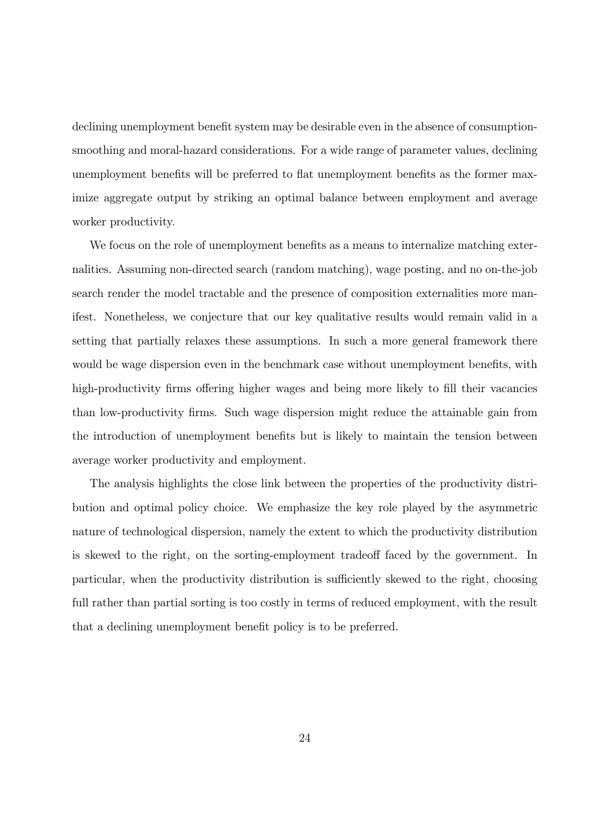declining unemployment benefit system may be desirable even in the absence of consumptionsmoothing and moral-hazard considerations. For a wide range of parameter values, declining unemployment benefits will be preferred to flat unemployment benefits as the former maximize aggregate output by striking an optimal balance between employment and average worker productivity.

We focus on the role of unemployment benefits as a means to internalize matching externalities. Assuming non-directed search (random matching), wage posting, and no on-the-job search render the model tractable and the presence of composition externalities more manifest. Nonetheless, we conjecture that our key qualitative results would remain valid in a setting that partially relaxes these assumptions. In such a more general framework there would be wage dispersion even in the benchmark case without unemployment benefits, with high-productivity firms offering higher wages and being more likely to fill their vacancies than low-productivity firms. Such wage dispersion might reduce the attainable gain from the introduction of unemployment benefits but is likely to maintain the tension between average worker productivity and employment.

The analysis highlights the close link between the properties of the productivity distribution and optimal policy choice. We emphasize the key role played by the asymmetric nature of technological dispersion, namely the extent to which the productivity distribution is skewed to the right, on the sorting-employment tradeoff faced by the government. In particular, when the productivity distribution is sufficiently skewed to the right, choosing full rather than partial sorting is too costly in terms of reduced employment, with the result that a declining unemployment benefit policy is to be preferred.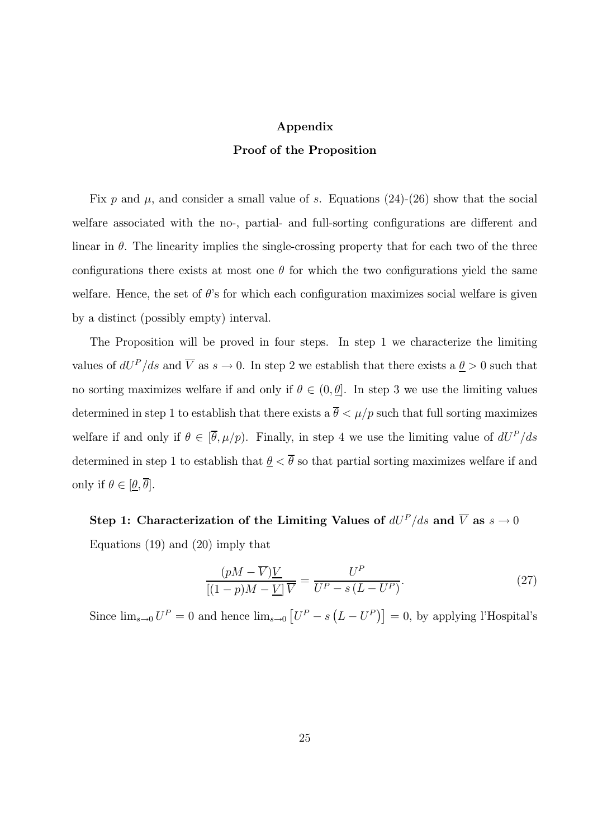### Appendix

### Proof of the Proposition

Fix p and  $\mu$ , and consider a small value of s. Equations (24)-(26) show that the social welfare associated with the no-, partial- and full-sorting configurations are different and linear in  $\theta$ . The linearity implies the single-crossing property that for each two of the three configurations there exists at most one  $\theta$  for which the two configurations yield the same welfare. Hence, the set of  $\theta$ 's for which each configuration maximizes social welfare is given by a distinct (possibly empty) interval.

The Proposition will be proved in four steps. In step 1 we characterize the limiting values of  $dU^P/ds$  and  $\overline{V}$  as  $s \to 0$ . In step 2 we establish that there exists a  $\underline{\theta} > 0$  such that no sorting maximizes welfare if and only if  $\theta \in (0, \underline{\theta}]$ . In step 3 we use the limiting values determined in step 1 to establish that there exists a  $\bar{\theta} < \mu/p$  such that full sorting maximizes welfare if and only if  $\theta \in [\overline{\theta}, \mu/p)$ . Finally, in step 4 we use the limiting value of  $dU^P/ds$ determined in step 1 to establish that  $\underline{\theta} < \overline{\theta}$  so that partial sorting maximizes welfare if and only if  $\theta \in [\underline{\theta}, \overline{\theta}]$ .

Step 1: Characterization of the Limiting Values of  $dU^P/ds$  and  $\overline{V}$  as  $s \to 0$ Equations (19) and (20) imply that

$$
\frac{(pM - \overline{V})\underline{V}}{[(1-p)M - \underline{V}]\,\overline{V}} = \frac{U^P}{U^P - s(L - U^P)}.
$$
\n(27)

Since  $\lim_{s\to 0} U^P = 0$  and hence  $\lim_{s\to 0} [U^P - s(L - U^P)] = 0$ , by applying l'Hospital's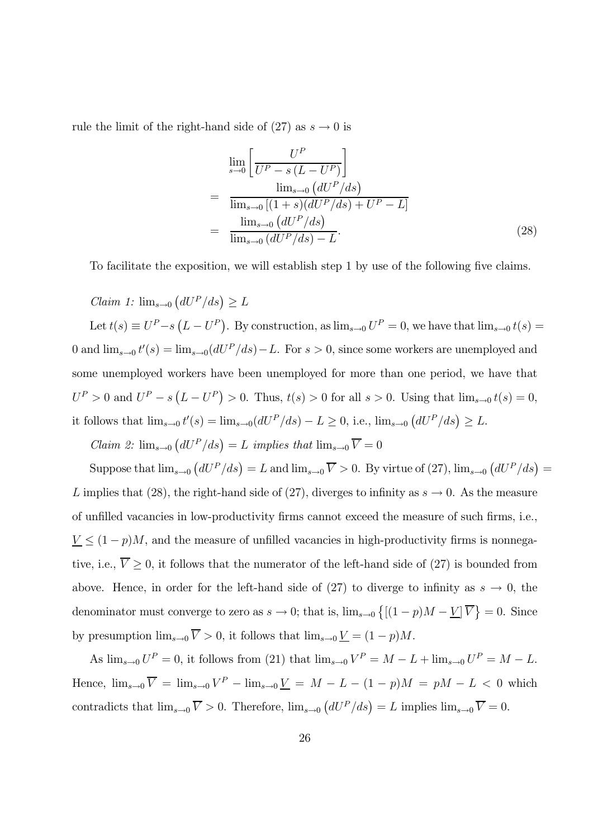rule the limit of the right-hand side of (27) as  $s \to 0$  is

$$
\lim_{s \to 0} \left[ \frac{U^P}{U^P - s(L - U^P)} \right]
$$
\n
$$
= \frac{\lim_{s \to 0} (dU^P/ds)}{\lim_{s \to 0} [(1+s)(dU^P/ds) + U^P - L]}
$$
\n
$$
= \frac{\lim_{s \to 0} (dU^P/ds)}{\lim_{s \to 0} (dU^P/ds) - L}.
$$
\n(28)

To facilitate the exposition, we will establish step 1 by use of the following five claims.

*Claim 1:*  $\lim_{s\to 0} (dU^P/ds) \geq L$ 

Let  $t(s) \equiv U^P - s(L - U^P)$ . By construction, as  $\lim_{s\to 0} U^P = 0$ , we have that  $\lim_{s\to 0} t(s) =$ 0 and  $\lim_{s\to 0} t'(s) = \lim_{s\to 0} (dU^P/ds) - L$ . For  $s > 0$ , since some workers are unemployed and some unemployed workers have been unemployed for more than one period, we have that  $U^{P} > 0$  and  $U^{P} - s(L - U^{P}) > 0$ . Thus,  $t(s) > 0$  for all  $s > 0$ . Using that  $\lim_{s\to 0} t(s) = 0$ , it follows that  $\lim_{s\to 0} t'(s) = \lim_{s\to 0} (dU^P/ds) - L \ge 0$ , i.e.,  $\lim_{s\to 0} (dU^P/ds) \ge L$ .

*Claim 2:*  $\lim_{s\to 0} (dU^P/ds) = L$  *implies that*  $\lim_{s\to 0} \overline{V} = 0$ 

Suppose that  $\lim_{s\to 0} (dU^P/ds) = L$  and  $\lim_{s\to 0} \overline{V} > 0$ . By virtue of (27),  $\lim_{s\to 0} (dU^P/ds) =$ L implies that (28), the right-hand side of (27), diverges to infinity as  $s \to 0$ . As the measure of unfilled vacancies in low-productivity firms cannot exceed the measure of such firms, i.e.,  $\underline{V} \leq (1-p)M$ , and the measure of unfilled vacancies in high-productivity firms is nonnegative, i.e.,  $\overline{V} \ge 0$ , it follows that the numerator of the left-hand side of (27) is bounded from above. Hence, in order for the left-hand side of (27) to diverge to infinity as  $s \to 0$ , the denominator must converge to zero as  $s \to 0$ ; that is,  $\lim_{s\to 0} \{[(1-p)M - \underline{V}]\overline{V}\}=0$ . Since by presumption  $\lim_{s\to 0} \overline{V} > 0$ , it follows that  $\lim_{s\to 0} \underline{V} = (1 - p)M$ .

As  $\lim_{s\to 0} U^P = 0$ , it follows from (21) that  $\lim_{s\to 0} V^P = M - L + \lim_{s\to 0} U^P = M - L$ . Hence,  $\lim_{s\to 0} \overline{V} = \lim_{s\to 0} V^P - \lim_{s\to 0} \underline{V} = M - L - (1 - p)M = pM - L < 0$  which contradicts that  $\lim_{s\to 0} \overline{V} > 0$ . Therefore,  $\lim_{s\to 0} (dU^P/ds) = L$  implies  $\lim_{s\to 0} \overline{V} = 0$ .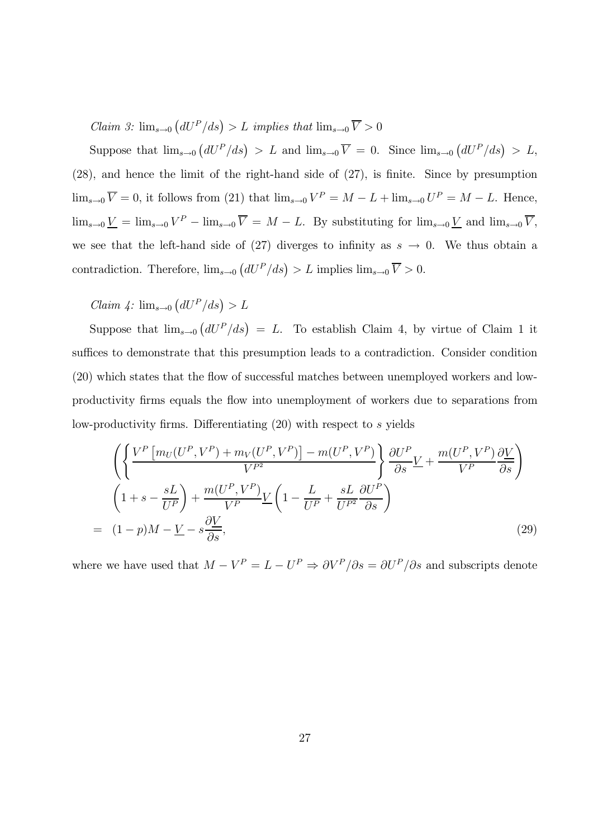*Claim 3:*  $\lim_{s\to 0} (dU^P/ds) > L$  *implies that*  $\lim_{s\to 0} \overline{V} > 0$ 

Suppose that  $\lim_{s\to 0} (dU^P/ds) > L$  and  $\lim_{s\to 0} \overline{V} = 0$ . Since  $\lim_{s\to 0} (dU^P/ds) > L$ , (28), and hence the limit of the right-hand side of (27), is finite. Since by presumption  $\lim_{s\to 0} \overline{V} = 0$ , it follows from (21) that  $\lim_{s\to 0} V^P = M - L + \lim_{s\to 0} U^P = M - L$ . Hence,  $\lim_{s\to 0} \underline{V} = \lim_{s\to 0} V^P - \lim_{s\to 0} \overline{V} = M - L$ . By substituting for  $\lim_{s\to 0} \underline{V}$  and  $\lim_{s\to 0} \overline{V}$ , we see that the left-hand side of (27) diverges to infinity as  $s \to 0$ . We thus obtain a contradiction. Therefore,  $\lim_{s\to 0} (dU^P/ds) > L$  implies  $\lim_{s\to 0} \overline{V} > 0$ .

Claim 4:  $\lim_{s\to 0} (dU^P/ds) > L$ 

Suppose that  $\lim_{s\to 0} (dU^P/ds) = L$ . To establish Claim 4, by virtue of Claim 1 it suffices to demonstrate that this presumption leads to a contradiction. Consider condition (20) which states that the flow of successful matches between unemployed workers and lowproductivity firms equals the flow into unemployment of workers due to separations from low-productivity firms. Differentiating  $(20)$  with respect to s yields

$$
\left(\left\{\frac{V^{P}\left[m_{U}(U^{P},V^{P})+m_{V}(U^{P},V^{P})\right]-m(U^{P},V^{P})}{V^{P^{2}}}\right\}\frac{\partial U^{P}}{\partial s}V+\frac{m(U^{P},V^{P})}{V^{P}}\frac{\partial V}{\partial s}\right)
$$
\n
$$
\left(1+s-\frac{sL}{U^{P}}\right)+\frac{m(U^{P},V^{P})}{V^{P}}\underline{V}\left(1-\frac{L}{U^{P}}+\frac{sL}{U^{P^{2}}}\frac{\partial U^{P}}{\partial s}\right)
$$
\n
$$
=(1-p)M-\underline{V}-s\frac{\partial V}{\partial s},\tag{29}
$$

where we have used that  $M - V^P = L - U^P \Rightarrow \partial V^P / \partial s = \partial U^P / \partial s$  and subscripts denote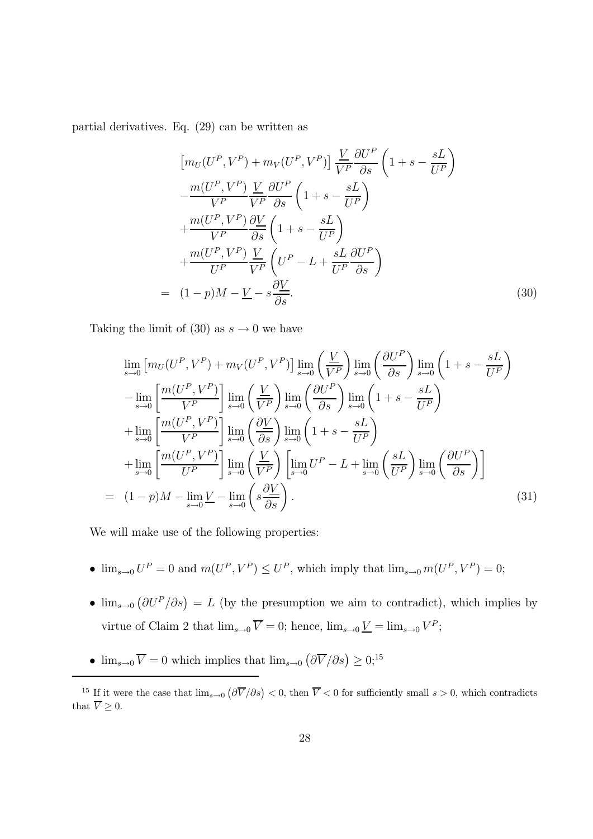partial derivatives. Eq. (29) can be written as

$$
\left[m_U(U^P, V^P) + m_V(U^P, V^P)\right] \frac{V}{V^P} \frac{\partial U^P}{\partial s} \left(1 + s - \frac{sL}{U^P}\right)
$$

$$
- \frac{m(U^P, V^P)}{V^P} \frac{V}{V^P} \frac{\partial U^P}{\partial s} \left(1 + s - \frac{sL}{U^P}\right)
$$

$$
+ \frac{m(U^P, V^P)}{V^P} \frac{\partial V}{\partial s} \left(1 + s - \frac{sL}{U^P}\right)
$$

$$
+ \frac{m(U^P, V^P)}{U^P} \frac{V}{V^P} \left(U^P - L + \frac{sL}{U^P} \frac{\partial U^P}{\partial s}\right)
$$

$$
= (1 - p)M - \underline{V} - s\frac{\partial V}{\partial s}.
$$
(30)

Taking the limit of (30) as  $s \to 0$  we have

$$
\lim_{s \to 0} \left[ m_U(U^P, V^P) + m_V(U^P, V^P) \right] \lim_{s \to 0} \left( \frac{V}{V^P} \right) \lim_{s \to 0} \left( \frac{\partial U^P}{\partial s} \right) \lim_{s \to 0} \left( 1 + s - \frac{sL}{U^P} \right)
$$
\n
$$
- \lim_{s \to 0} \left[ \frac{m(U^P, V^P)}{V^P} \right] \lim_{s \to 0} \left( \frac{V}{V^P} \right) \lim_{s \to 0} \left( \frac{\partial U^P}{\partial s} \right) \lim_{s \to 0} \left( 1 + s - \frac{sL}{U^P} \right)
$$
\n
$$
+ \lim_{s \to 0} \left[ \frac{m(U^P, V^P)}{V^P} \right] \lim_{s \to 0} \left( \frac{\partial V}{\partial s} \right) \lim_{s \to 0} \left( 1 + s - \frac{sL}{U^P} \right)
$$
\n
$$
+ \lim_{s \to 0} \left[ \frac{m(U^P, V^P)}{U^P} \right] \lim_{s \to 0} \left( \frac{V}{V^P} \right) \left[ \lim_{s \to 0} U^P - L + \lim_{s \to 0} \left( \frac{sL}{U^P} \right) \lim_{s \to 0} \left( \frac{\partial U^P}{\partial s} \right) \right]
$$
\n
$$
= (1 - p)M - \lim_{s \to 0} \underline{V} - \lim_{s \to 0} \left( s \frac{\partial V}{\partial s} \right).
$$
\n(31)

We will make use of the following properties:

- $\lim_{s\to 0} U^P = 0$  and  $m(U^P, V^P) \leq U^P$ , which imply that  $\lim_{s\to 0} m(U^P, V^P) = 0$ ;
- $\lim_{s\to 0}$   $\left(\frac{\partial U^P}{\partial s}\right) = L$  (by the presumption we aim to contradict), which implies by virtue of Claim 2 that  $\lim_{s\to 0} \overline{V} = 0$ ; hence,  $\lim_{s\to 0} \underline{V} = \lim_{s\to 0} V^P$ ;
- $\lim_{s\to 0} \overline{V} = 0$  which implies that  $\lim_{s\to 0} (\partial \overline{V}/\partial s) \geq 0;^{15}$

<sup>&</sup>lt;sup>15</sup> If it were the case that  $\lim_{s\to 0} (\partial \overline{V}/\partial s) < 0$ , then  $\overline{V} < 0$  for sufficiently small  $s > 0$ , which contradicts that  $\overline{V} \geq 0$ .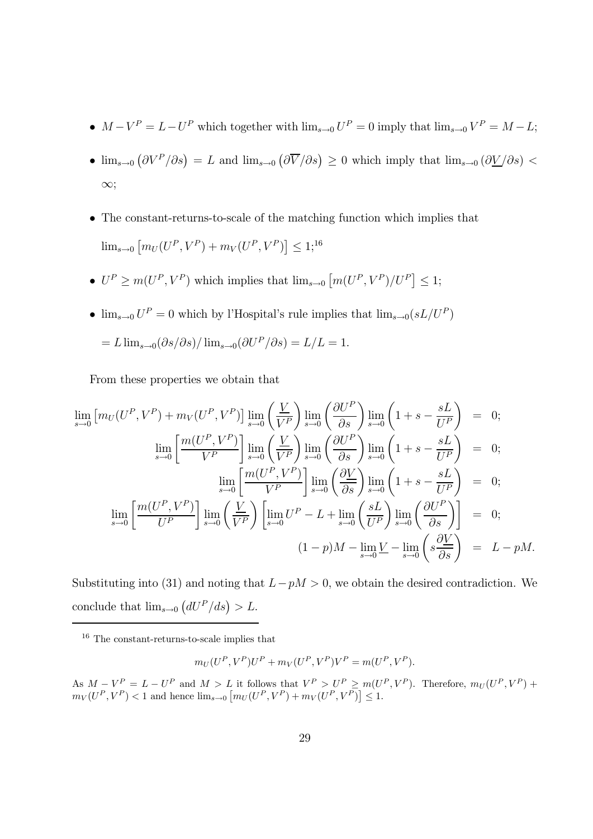- $M V^P = L U^P$  which together with  $\lim_{s\to 0} U^P = 0$  imply that  $\lim_{s\to 0} V^P = M L$ ;
- $\lim_{s\to 0}$   $\left(\frac{\partial V^P}{\partial s}\right) = L$  and  $\lim_{s\to 0}$   $\left(\frac{\partial \overline{V}}{\partial s}\right) \geq 0$  which imply that  $\lim_{s\to 0}$   $\left(\frac{\partial V}{\partial s}\right)$  < ∞;
- The constant-returns-to-scale of the matching function which implies that  $\lim_{s\to 0} [m_U(U^P, V^P) + m_V(U^P, V^P)] \leq 1;^{16}$
- $U^P \ge m(U^P, V^P)$  which implies that  $\lim_{s\to 0} [m(U^P, V^P)/U^P] \le 1$ ;
- $\lim_{s\to 0} U^P = 0$  which by l'Hospital's rule implies that  $\lim_{s\to 0} (sL/U^P)$

$$
= L \lim_{s \to 0} (\partial s / \partial s) / \lim_{s \to 0} (\partial U^P / \partial s) = L/L = 1.
$$

From these properties we obtain that

$$
\lim_{s \to 0} \left[ m_U(U^P, V^P) + m_V(U^P, V^P) \right] \lim_{s \to 0} \left( \frac{V}{V^P} \right) \lim_{s \to 0} \left( \frac{\partial U^P}{\partial s} \right) \lim_{s \to 0} \left( 1 + s - \frac{sL}{U^P} \right) = 0;
$$
\n
$$
\lim_{s \to 0} \left[ \frac{m(U^P, V^P)}{V^P} \right] \lim_{s \to 0} \left( \frac{V}{V^P} \right) \lim_{s \to 0} \left( \frac{\partial U^P}{\partial s} \right) \lim_{s \to 0} \left( 1 + s - \frac{sL}{U^P} \right) = 0;
$$
\n
$$
\lim_{s \to 0} \left[ \frac{m(U^P, V^P)}{V^P} \right] \lim_{s \to 0} \left( \frac{\partial V}{V^P} \right) \lim_{s \to 0} \left( \frac{\partial V}{\partial s} \right) \lim_{s \to 0} \left( 1 + s - \frac{sL}{U^P} \right) = 0;
$$
\n
$$
\lim_{s \to 0} \left[ \frac{m(U^P, V^P)}{U^P} \right] \lim_{s \to 0} \left( \frac{V}{V^P} \right) \left[ \lim_{s \to 0} U^P - L + \lim_{s \to 0} \left( \frac{sL}{U^P} \right) \lim_{s \to 0} \left( \frac{\partial U^P}{\partial s} \right) \right] = 0;
$$
\n
$$
(1 - p)M - \lim_{s \to 0} V - \lim_{s \to 0} \left( s \frac{\partial V}{\partial s} \right) = L - pM.
$$

Substituting into (31) and noting that  $L - pM > 0$ , we obtain the desired contradiction. We conclude that  $\lim_{s\to 0} (dU^P/ds) > L$ .

$$
m_U(U^P, V^P)U^P + m_V(U^P, V^P)V^P = m(U^P, V^P).
$$

<sup>16</sup> The constant-returns-to-scale implies that

As  $M - V^P = L - U^P$  and  $M > L$  it follows that  $V^P > U^P \ge m(U^P, V^P)$ . Therefore,  $m_U(U^P, V^P)$  +  $m_V(U^P, V^P) < 1$  and hence  $\lim_{s\to 0} [m_U(U^P, V^P) + m_V(U^P, V^P)] \leq 1$ .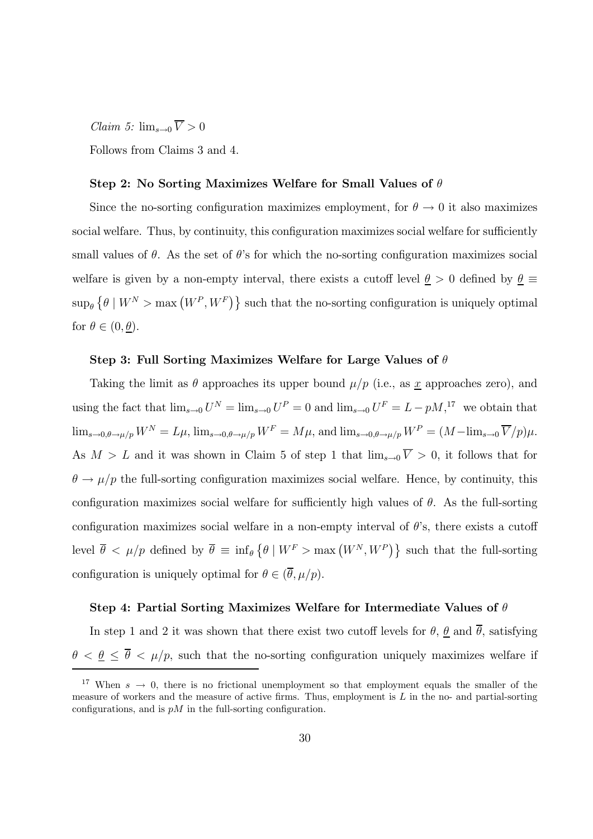*Claim 5:*  $\lim_{s\to 0} \overline{V} > 0$ 

Follows from Claims 3 and 4.

#### Step 2: No Sorting Maximizes Welfare for Small Values of  $\theta$

Since the no-sorting configuration maximizes employment, for  $\theta \to 0$  it also maximizes social welfare. Thus, by continuity, this configuration maximizes social welfare for sufficiently small values of  $\theta$ . As the set of  $\theta$ 's for which the no-sorting configuration maximizes social welfare is given by a non-empty interval, there exists a cutoff level  $\theta > 0$  defined by  $\theta \equiv$  $\sup_{\theta} \{ \theta \mid W^N > \max(W^P, W^F) \}$  such that the no-sorting configuration is uniquely optimal for  $\theta \in (0, \underline{\theta})$ .

### Step 3: Full Sorting Maximizes Welfare for Large Values of  $\theta$

Taking the limit as  $\theta$  approaches its upper bound  $\mu/p$  (i.e., as  $\underline{x}$  approaches zero), and using the fact that  $\lim_{s\to 0} U^N = \lim_{s\to 0} U^P = 0$  and  $\lim_{s\to 0} U^F = L - pM$ ,<sup>17</sup> we obtain that  $\lim_{s\to 0,\theta\to \mu/p} W^N = L\mu$ ,  $\lim_{s\to 0,\theta\to \mu/p} W^F = M\mu$ , and  $\lim_{s\to 0,\theta\to \mu/p} W^P = (M-\lim_{s\to 0} \overline{V}/p)\mu$ . As  $M > L$  and it was shown in Claim 5 of step 1 that  $\lim_{s\to 0} \overline{V} > 0$ , it follows that for  $\theta \to \mu / p$  the full-sorting configuration maximizes social welfare. Hence, by continuity, this configuration maximizes social welfare for sufficiently high values of  $\theta$ . As the full-sorting configuration maximizes social welfare in a non-empty interval of  $\theta$ 's, there exists a cutoff level  $\overline{\theta} \le \mu/p$  defined by  $\overline{\theta} \equiv \inf_{\theta} \{ \theta \mid W^F > \max(W^N, W^P) \}$  such that the full-sorting configuration is uniquely optimal for  $\theta \in (\overline{\theta}, \mu/p)$ .

### Step 4: Partial Sorting Maximizes Welfare for Intermediate Values of  $\theta$

In step 1 and 2 it was shown that there exist two cutoff levels for  $\theta$ ,  $\theta$  and  $\overline{\theta}$ , satisfying  $\theta < \underline{\theta} \le \overline{\theta} < \mu/p$ , such that the no-sorting configuration uniquely maximizes welfare if

<sup>&</sup>lt;sup>17</sup> When  $s \rightarrow 0$ , there is no frictional unemployment so that employment equals the smaller of the measure of workers and the measure of active firms. Thus, employment is  $L$  in the no- and partial-sorting configurations, and is  $pM$  in the full-sorting configuration.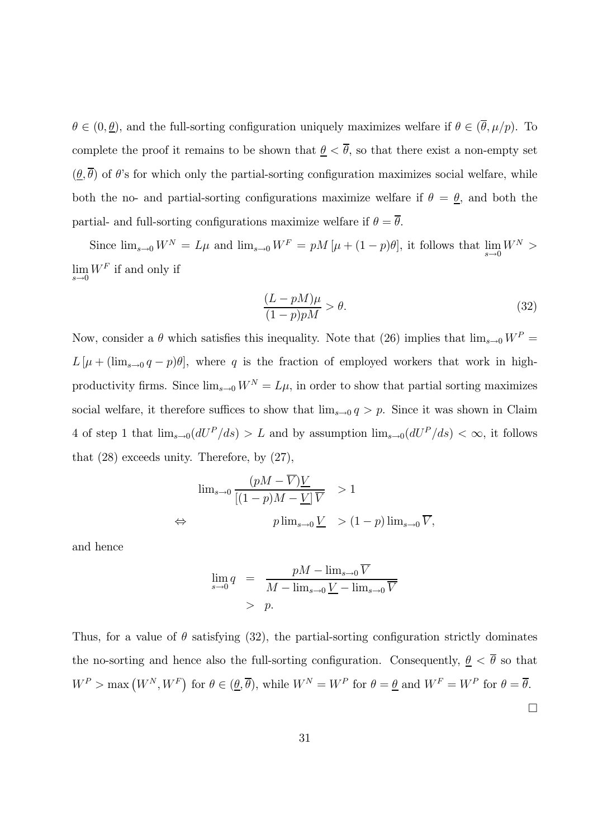$\theta \in (0, \underline{\theta})$ , and the full-sorting configuration uniquely maximizes welfare if  $\theta \in (\overline{\theta}, \mu/p)$ . To complete the proof it remains to be shown that  $\theta < \overline{\theta}$ , so that there exist a non-empty set  $(\underline{\theta}, \overline{\theta})$  of  $\theta$ 's for which only the partial-sorting configuration maximizes social welfare, while both the no- and partial-sorting configurations maximize welfare if  $\theta = \underline{\theta}$ , and both the partial- and full-sorting configurations maximize welfare if  $\theta = \overline{\theta}$ .

Since  $\lim_{s\to 0} W^N = L\mu$  and  $\lim_{s\to 0} W^F = pM[\mu + (1-p)\theta]$ , it follows that  $\lim_{s\to 0} W^N >$  $\lim_{s\to 0} W^F$  if and only if

$$
\frac{(L-pM)\mu}{(1-p)pM} > \theta.
$$
\n(32)

Now, consider a  $\theta$  which satisfies this inequality. Note that (26) implies that  $\lim_{s\to 0} W^P =$  $L[\mu + (\lim_{s\to 0} q - p)\theta],$  where q is the fraction of employed workers that work in highproductivity firms. Since  $\lim_{s\to 0} W^N = L\mu$ , in order to show that partial sorting maximizes social welfare, it therefore suffices to show that  $\lim_{s\to 0} q > p$ . Since it was shown in Claim 4 of step 1 that  $\lim_{s\to 0} (dU^P/ds) > L$  and by assumption  $\lim_{s\to 0} (dU^P/ds) < \infty$ , it follows that (28) exceeds unity. Therefore, by (27),

$$
\lim_{s \to 0} \frac{(pM - \overline{V})\underline{V}}{[(1-p)M - \underline{V}]\overline{V}} > 1
$$
  
\n
$$
\Leftrightarrow \qquad p \lim_{s \to 0} \underline{V} > (1-p) \lim_{s \to 0} \overline{V},
$$

and hence

$$
\lim_{s \to 0} q = \frac{pM - \lim_{s \to 0} \overline{V}}{M - \lim_{s \to 0} \underline{V} - \lim_{s \to 0} \overline{V}}
$$
  
> p.

Thus, for a value of  $\theta$  satisfying (32), the partial-sorting configuration strictly dominates the no-sorting and hence also the full-sorting configuration. Consequently,  $\theta < \overline{\theta}$  so that  $W^P$  > max  $(W^N, W^F)$  for  $\theta \in (\underline{\theta}, \overline{\theta})$ , while  $W^N = W^P$  for  $\theta = \underline{\theta}$  and  $W^F = W^P$  for  $\theta = \overline{\theta}$ .

 $\Box$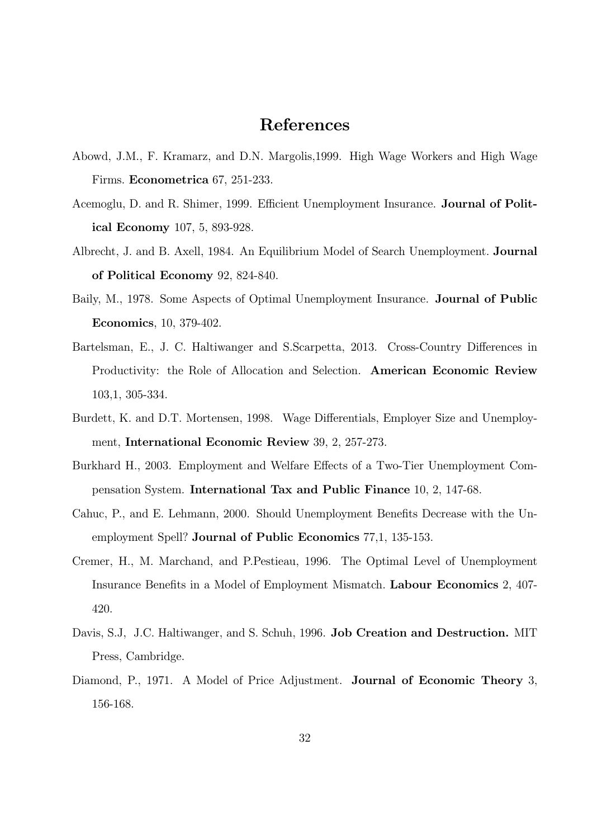### References

- Abowd, J.M., F. Kramarz, and D.N. Margolis,1999. High Wage Workers and High Wage Firms. Econometrica 67, 251-233.
- Acemoglu, D. and R. Shimer, 1999. Efficient Unemployment Insurance. Journal of Political Economy 107, 5, 893-928.
- Albrecht, J. and B. Axell, 1984. An Equilibrium Model of Search Unemployment. Journal of Political Economy 92, 824-840.
- Baily, M., 1978. Some Aspects of Optimal Unemployment Insurance. Journal of Public Economics, 10, 379-402.
- Bartelsman, E., J. C. Haltiwanger and S.Scarpetta, 2013. Cross-Country Differences in Productivity: the Role of Allocation and Selection. American Economic Review 103,1, 305-334.
- Burdett, K. and D.T. Mortensen, 1998. Wage Differentials, Employer Size and Unemployment, International Economic Review 39, 2, 257-273.
- Burkhard H., 2003. Employment and Welfare Effects of a Two-Tier Unemployment Compensation System. International Tax and Public Finance 10, 2, 147-68.
- Cahuc, P., and E. Lehmann, 2000. Should Unemployment Benefits Decrease with the Unemployment Spell? Journal of Public Economics 77,1, 135-153.
- Cremer, H., M. Marchand, and P.Pestieau, 1996. The Optimal Level of Unemployment Insurance Benefits in a Model of Employment Mismatch. Labour Economics 2, 407- 420.
- Davis, S.J, J.C. Haltiwanger, and S. Schuh, 1996. Job Creation and Destruction. MIT Press, Cambridge.
- Diamond, P., 1971. A Model of Price Adjustment. Journal of Economic Theory 3, 156-168.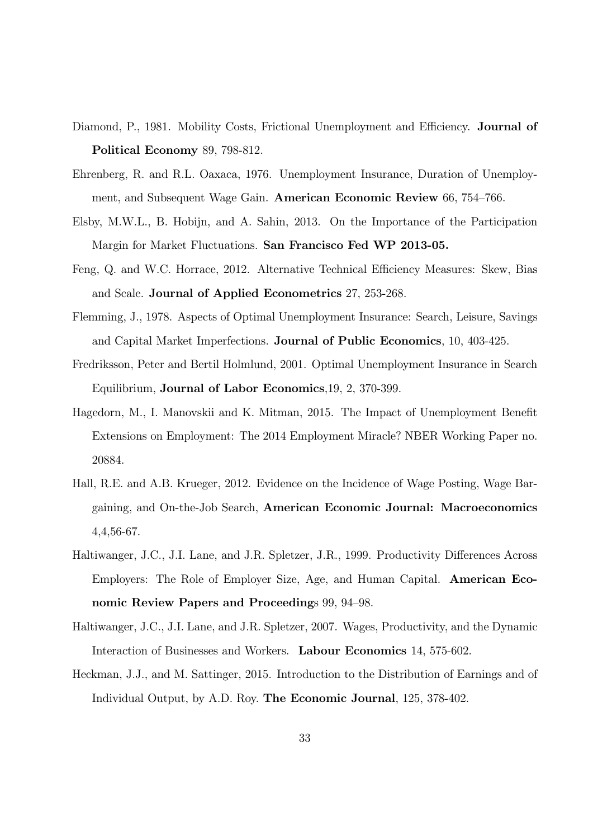- Diamond, P., 1981. Mobility Costs, Frictional Unemployment and Efficiency. Journal of Political Economy 89, 798-812.
- Ehrenberg, R. and R.L. Oaxaca, 1976. Unemployment Insurance, Duration of Unemployment, and Subsequent Wage Gain. American Economic Review 66, 754—766.
- Elsby, M.W.L., B. Hobijn, and A. Sahin, 2013. On the Importance of the Participation Margin for Market Fluctuations. San Francisco Fed WP 2013-05.
- Feng, Q. and W.C. Horrace, 2012. Alternative Technical Efficiency Measures: Skew, Bias and Scale. Journal of Applied Econometrics 27, 253-268.
- Flemming, J., 1978. Aspects of Optimal Unemployment Insurance: Search, Leisure, Savings and Capital Market Imperfections. Journal of Public Economics, 10, 403-425.
- Fredriksson, Peter and Bertil Holmlund, 2001. Optimal Unemployment Insurance in Search Equilibrium, Journal of Labor Economics,19, 2, 370-399.
- Hagedorn, M., I. Manovskii and K. Mitman, 2015. The Impact of Unemployment Benefit Extensions on Employment: The 2014 Employment Miracle? NBER Working Paper no. 20884.
- Hall, R.E. and A.B. Krueger, 2012. Evidence on the Incidence of Wage Posting, Wage Bargaining, and On-the-Job Search, American Economic Journal: Macroeconomics 4,4,56-67.
- Haltiwanger, J.C., J.I. Lane, and J.R. Spletzer, J.R., 1999. Productivity Differences Across Employers: The Role of Employer Size, Age, and Human Capital. American Economic Review Papers and Proceedings 99, 94—98.
- Haltiwanger, J.C., J.I. Lane, and J.R. Spletzer, 2007. Wages, Productivity, and the Dynamic Interaction of Businesses and Workers. Labour Economics 14, 575-602.
- Heckman, J.J., and M. Sattinger, 2015. Introduction to the Distribution of Earnings and of Individual Output, by A.D. Roy. The Economic Journal, 125, 378-402.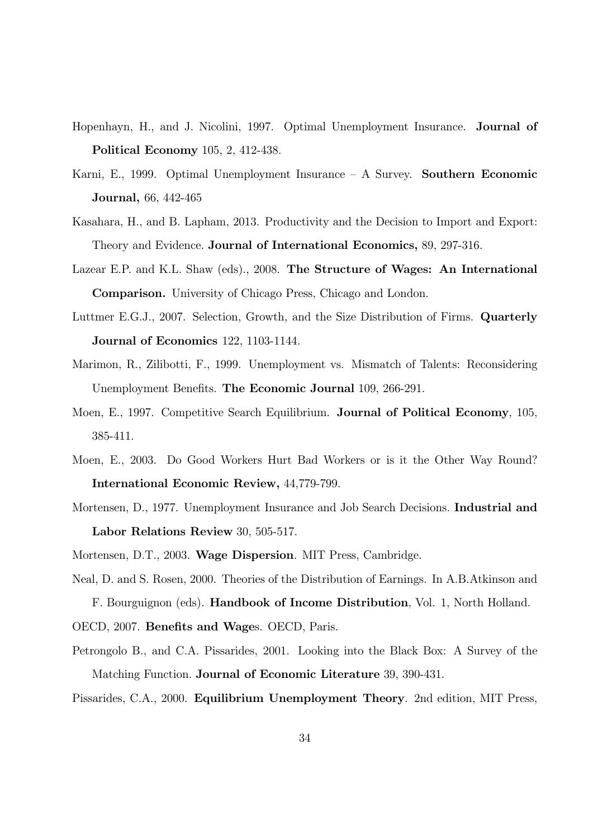- Hopenhayn, H., and J. Nicolini, 1997. Optimal Unemployment Insurance. Journal of Political Economy 105, 2, 412-438.
- Karni, E., 1999. Optimal Unemployment Insurance A Survey. Southern Economic Journal, 66, 442-465
- Kasahara, H., and B. Lapham, 2013. Productivity and the Decision to Import and Export: Theory and Evidence. Journal of International Economics, 89, 297-316.
- Lazear E.P. and K.L. Shaw (eds)., 2008. The Structure of Wages: An International Comparison. University of Chicago Press, Chicago and London.
- Luttmer E.G.J., 2007. Selection, Growth, and the Size Distribution of Firms. Quarterly Journal of Economics 122, 1103-1144.
- Marimon, R., Zilibotti, F., 1999. Unemployment vs. Mismatch of Talents: Reconsidering Unemployment Benefits. The Economic Journal 109, 266-291.
- Moen, E., 1997. Competitive Search Equilibrium. Journal of Political Economy, 105, 385-411.
- Moen, E., 2003. Do Good Workers Hurt Bad Workers or is it the Other Way Round? International Economic Review, 44,779-799.
- Mortensen, D., 1977. Unemployment Insurance and Job Search Decisions. Industrial and Labor Relations Review 30, 505-517.

Mortensen, D.T., 2003. Wage Dispersion. MIT Press, Cambridge.

Neal, D. and S. Rosen, 2000. Theories of the Distribution of Earnings. In A.B.Atkinson and F. Bourguignon (eds). Handbook of Income Distribution, Vol. 1, North Holland.

- OECD, 2007. Benefits and Wages. OECD, Paris.
- Petrongolo B., and C.A. Pissarides, 2001. Looking into the Black Box: A Survey of the Matching Function. Journal of Economic Literature 39, 390-431.

Pissarides, C.A., 2000. Equilibrium Unemployment Theory. 2nd edition, MIT Press,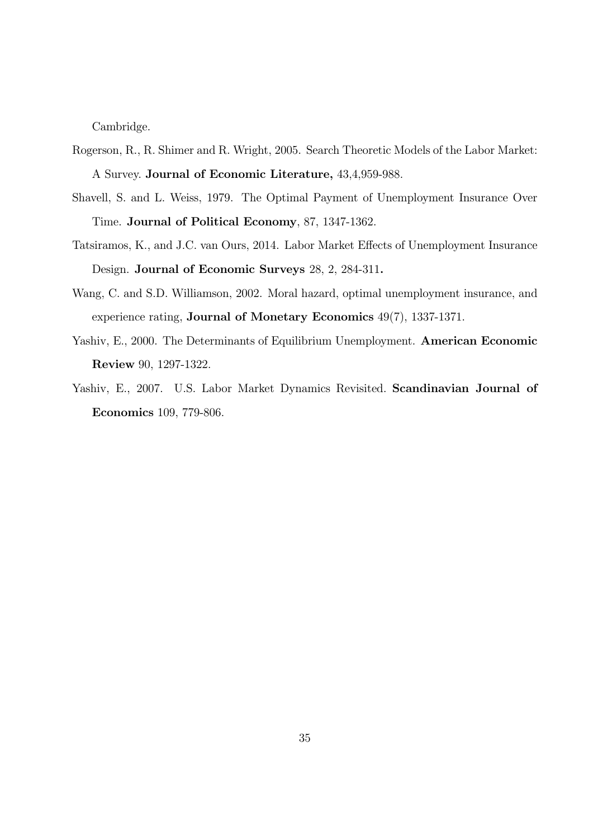Cambridge.

- Rogerson, R., R. Shimer and R. Wright, 2005. Search Theoretic Models of the Labor Market: A Survey. Journal of Economic Literature, 43,4,959-988.
- Shavell, S. and L. Weiss, 1979. The Optimal Payment of Unemployment Insurance Over Time. Journal of Political Economy, 87, 1347-1362.
- Tatsiramos, K., and J.C. van Ours, 2014. Labor Market Effects of Unemployment Insurance Design. Journal of Economic Surveys 28, 2, 284-311.
- Wang, C. and S.D. Williamson, 2002. Moral hazard, optimal unemployment insurance, and experience rating, Journal of Monetary Economics 49(7), 1337-1371.
- Yashiv, E., 2000. The Determinants of Equilibrium Unemployment. American Economic Review 90, 1297-1322.
- Yashiv, E., 2007. U.S. Labor Market Dynamics Revisited. Scandinavian Journal of Economics 109, 779-806.